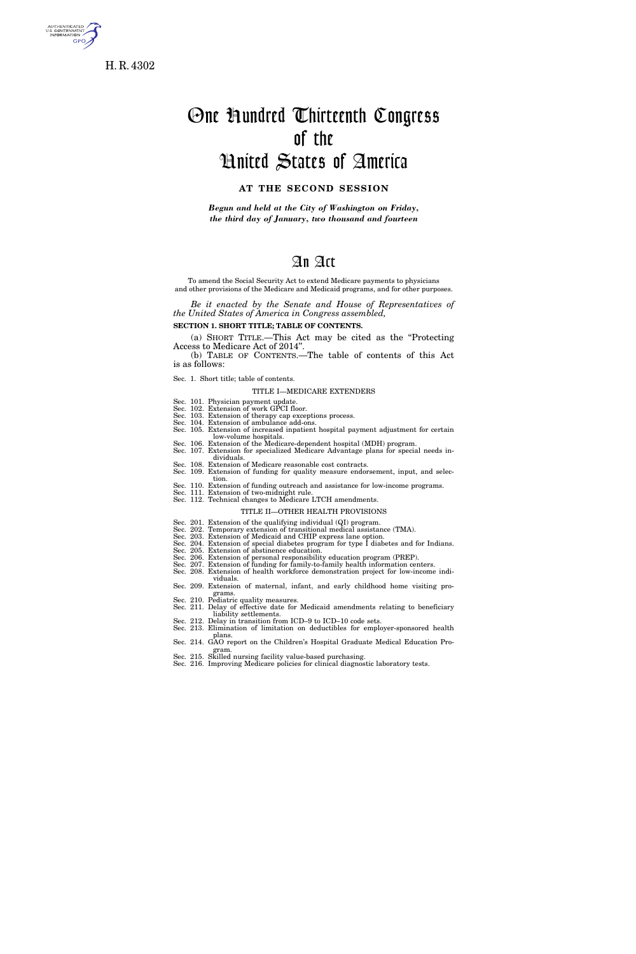

H. R. 4302

# One Hundred Thirteenth Congress of the United States of America

### **AT THE SECOND SESSION**

*Begun and held at the City of Washington on Friday, the third day of January, two thousand and fourteen* 

### An Act

To amend the Social Security Act to extend Medicare payments to physicians and other provisions of the Medicare and Medicaid programs, and for other purposes.

*Be it enacted by the Senate and House of Representatives of the United States of America in Congress assembled,* 

**SECTION 1. SHORT TITLE; TABLE OF CONTENTS.** 

(a) SHORT TITLE.—This Act may be cited as the ''Protecting Access to Medicare Act of 2014''. (b) TABLE OF CONTENTS.—The table of contents of this Act

is as follows:

Sec. 1. Short title; table of contents.

TITLE I—MEDICARE EXTENDERS

Sec. 101. Physician payment update. Sec. 102. Extension of work GPCI floor. Sec. 103. Extension of therapy cap exceptions process.

Sec. 104. Extension of ambulance add-ons. Sec. 105. Extension of increased inpatient hospital payment adjustment for certain

low-volume hospitals. Sec. 106. Extension of the Medicare-dependent hospital (MDH) program.

Sec. 107. Extension for specialized Medicare Advantage plans for special needs individuals. Sec. 108. Extension of Medicare reasonable cost contracts.

- Sec. 109. Extension of funding for quality measure endorsement, input, and selec-
- tion. Sec. 110. Extension of funding outreach and assistance for low-income programs.
- Sec. 111. Extension of two-midnight rule.

### Sec. 112. Technical changes to Medicare LTCH amendments.

#### TITLE II—OTHER HEALTH PROVISIONS

Sec. 201. Extension of the qualifying individual (QI) program. Sec. 202. Temporary extension of transitional medical assistance (TMA). Sec. 203. Extension of Medicaid and CHIP express lane option.

Sec. 204. Extension of special diabetes program for type I diabetes and for Indians.

Sec. 205. Extension of abstinence education.

- Sec. 206. Extension of personal responsibility education program (PREP).
- Sec. 207. Extension of funding for family-to-family health information centers. Sec. 208. Extension of health workforce demonstration project for low-income indi-
- viduals. Sec. 209. Extension of maternal, infant, and early childhood home visiting programs.

Sec. 210. Pediatric quality measures.

Sec. 211. Delay of effective date for Medicaid amendments relating to beneficiary liability settlements.

- Sec. 212. Delay in transition from ICD–9 to ICD–10 code sets.
- Sec. 213. Elimination of limitation on deductibles for employer-sponsored health plans.

Sec. 214. GAO report on the Children's Hospital Graduate Medical Education Program.

Sec. 215. Skilled nursing facility value-based purchasing. Sec. 216. Improving Medicare policies for clinical diagnostic laboratory tests.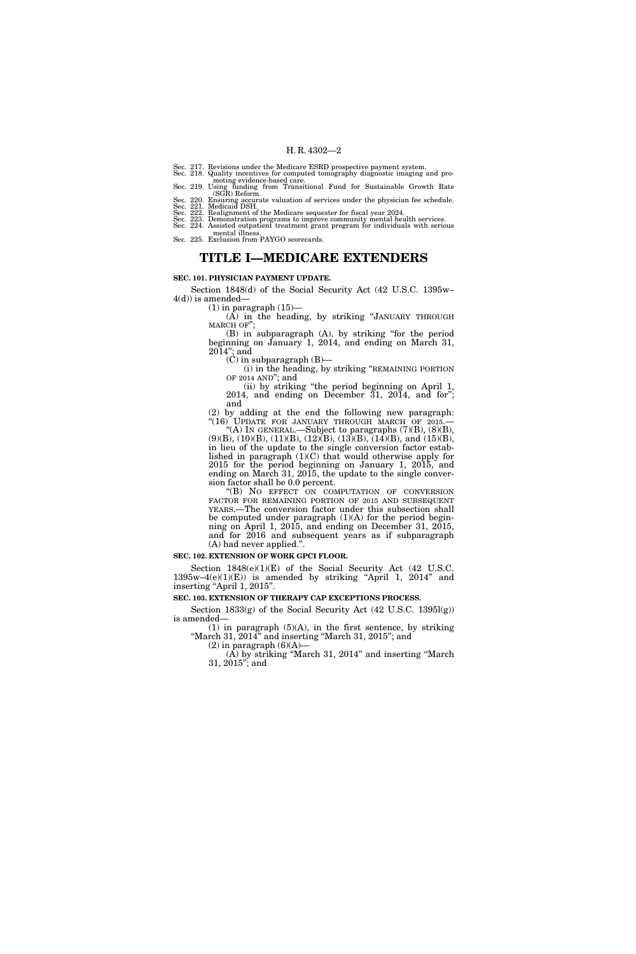Sec. 217. Revisions under the Medicare ESRD prospective payment system. Sec. 218. Quality incentives for computed tomography diagnostic imaging and pro-

moting evidence-based care. Sec. 219. Using funding from Transitional Fund for Sustainable Growth Rate (SGR) Reform.

Sec. 220. Ensuring accurate valuation of services under the physician fee schedule. Sec. 221. Medicaid DSH. Sec. 222. Realignment of the Medicare sequester for fiscal year 2024.

Sec. 223. Demonstration programs to improve community mental health services. Sec. 224. Assisted outpatient treatment grant program for individuals with serious mental illness. Sec. 225. Exclusion from PAYGO scorecards.

### **TITLE I—MEDICARE EXTENDERS**

#### **SEC. 101. PHYSICIAN PAYMENT UPDATE.**

Section 1848(d) of the Social Security Act (42 U.S.C. 1395w–  $4(d)$ ) is amended-

 $(1)$  in paragraph  $(15)$ (A) in the heading, by striking ''JANUARY THROUGH MARCH OF'';

(B) in subparagraph (A), by striking ''for the period beginning on January 1, 2014, and ending on March 31, 2014''; and

 $(C)$  in subparagraph  $(B)$ —

(i) in the heading, by striking ''REMAINING PORTION OF 2014 AND''; and

(ii) by striking ''the period beginning on April 1, 2014, and ending on December 31, 2014, and for''; and

(2) by adding at the end the following new paragraph: ''(16) UPDATE FOR JANUARY THROUGH MARCH OF 2015.— ''(A) IN GENERAL.—Subject to paragraphs (7)(B), (8)(B),

 $(9)(B)$ ,  $(10)(B)$ ,  $(11)(B)$ ,  $(12)(B)$ ,  $(13)(B)$ ,  $(14)(B)$ , and  $(15)(B)$ , in lieu of the update to the single conversion factor established in paragraph (1)(C) that would otherwise apply for 2015 for the period beginning on January 1, 2015, and ending on March 31, 2015, the update to the single conversion factor shall be 0.0 percent.

''(B) NO EFFECT ON COMPUTATION OF CONVERSION FACTOR FOR REMAINING PORTION OF 2015 AND SUBSEQUENT YEARS.—The conversion factor under this subsection shall be computed under paragraph (1)(A) for the period beginning on April 1, 2015, and ending on December 31, 2015, and for 2016 and subsequent years as if subparagraph (A) had never applied.''.

#### **SEC. 102. EXTENSION OF WORK GPCI FLOOR.**

Section 1848(e)(1)(E) of the Social Security Act (42 U.S.C.  $1395w-4(e)(1)(E)$  is amended by striking "April 1, 2014" and inserting "April 1, 2015".

**SEC. 103. EXTENSION OF THERAPY CAP EXCEPTIONS PROCESS.** 

Section  $1833(g)$  of the Social Security Act (42 U.S.C. 1395 $l(g)$ ) is amended—

 $(1)$  in paragraph  $(5)(A)$ , in the first sentence, by striking ''March 31, 2014'' and inserting ''March 31, 2015''; and

 $(2)$  in paragraph  $(6)(A)$ (A) by striking ''March 31, 2014'' and inserting ''March 31, 2015''; and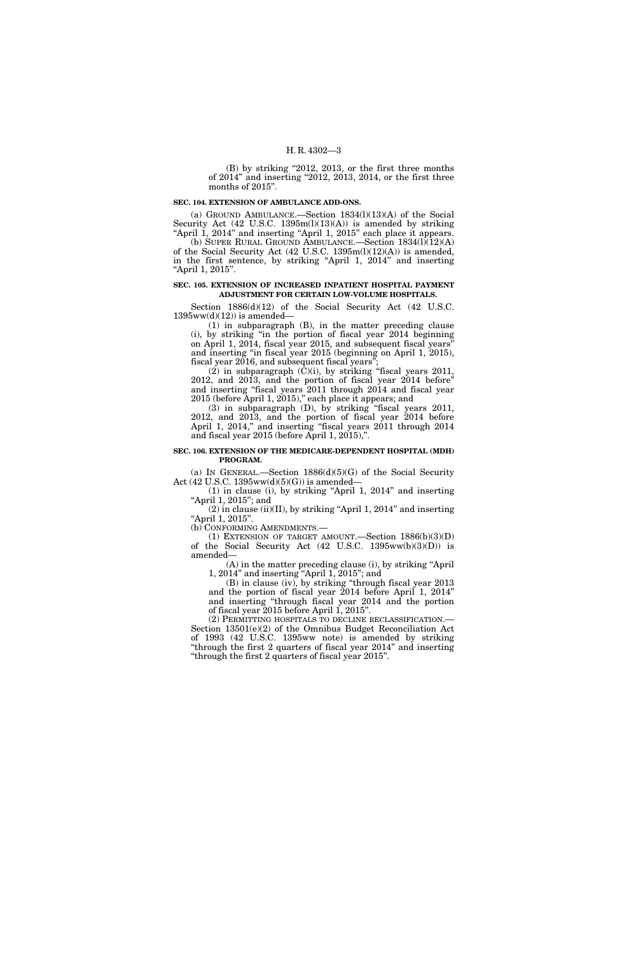(B) by striking "2012, 2013, or the first three months of 2014" and inserting "2012, 2013, 2014, or the first three months of 2015".

#### **SEC. 104. EXTENSION OF AMBULANCE ADD-ONS.**

(a) GROUND AMBULANCE.—Section  $1834(l)(13)(A)$  of the Social Security Act (42 U.S.C. 1395m(l)(13)(A)) is amended by striking "April 1, 2014" and inserting "April 1, 2015" each place it appears.

(b) SUPER RURAL GROUND AMBULANCE.—Section 1834(l)(12)(A) of the Social Security Act (42 U.S.C. 1395m(l)(12)(A)) is amended, in the first sentence, by striking "April 1, 2014" and inserting "April 1, 2015".

#### **SEC. 105. EXTENSION OF INCREASED INPATIENT HOSPITAL PAYMENT ADJUSTMENT FOR CERTAIN LOW-VOLUME HOSPITALS.**

Section 1886(d)(12) of the Social Security Act (42 U.S.C.  $1395ww(d)(12)$  is amended-

(1) in subparagraph (B), in the matter preceding clause (i), by striking ''in the portion of fiscal year 2014 beginning on April 1, 2014, fiscal year 2015, and subsequent fiscal years'' and inserting ''in fiscal year 2015 (beginning on April 1, 2015), fiscal year 2016, and subsequent fiscal years'';

 $(2)$  in subparagraph  $(C)(i)$ , by striking "fiscal years 2011, 2012, and 2013, and the portion of fiscal year 2014 before'' and inserting ''fiscal years 2011 through 2014 and fiscal year 2015 (before April 1, 2015)," each place it appears; and

(3) in subparagraph (D), by striking ''fiscal years 2011, 2012, and 2013, and the portion of fiscal year 2014 before April 1, 2014," and inserting "fiscal years 2011 through 2014 and fiscal year 2015 (before April 1, 2015),''.

#### **SEC. 106. EXTENSION OF THE MEDICARE-DEPENDENT HOSPITAL (MDH) PROGRAM.**

(a) IN GENERAL.—Section  $1886(d)(5)(G)$  of the Social Security Act  $(42 \text{ U.S.C. } 1395 \text{ww}(d)(5)(G))$  is amended-

(1) in clause (i), by striking ''April 1, 2014'' and inserting "April 1, 2015"; and

 $(2)$  in clause (ii)(II), by striking "April 1, 2014" and inserting "April 1, 2015".

(b) CONFORMING AMENDMENTS.—

(1) EXTENSION OF TARGET AMOUNT.—Section  $1886(b)(3)(D)$ of the Social Security Act (42 U.S.C. 1395ww(b)(3)(D)) is amended—

(A) in the matter preceding clause (i), by striking ''April 1, 2014'' and inserting ''April 1, 2015''; and

(B) in clause (iv), by striking ''through fiscal year 2013 and the portion of fiscal year 2014 before April 1, 2014'' and inserting ''through fiscal year 2014 and the portion of fiscal year 2015 before April 1, 2015''.

(2) PERMITTING HOSPITALS TO DECLINE RECLASSIFICATION.— Section 13501(e)(2) of the Omnibus Budget Reconciliation Act of 1993 (42 U.S.C. 1395ww note) is amended by striking "through the first 2 quarters of fiscal year 2014" and inserting ''through the first 2 quarters of fiscal year 2015''.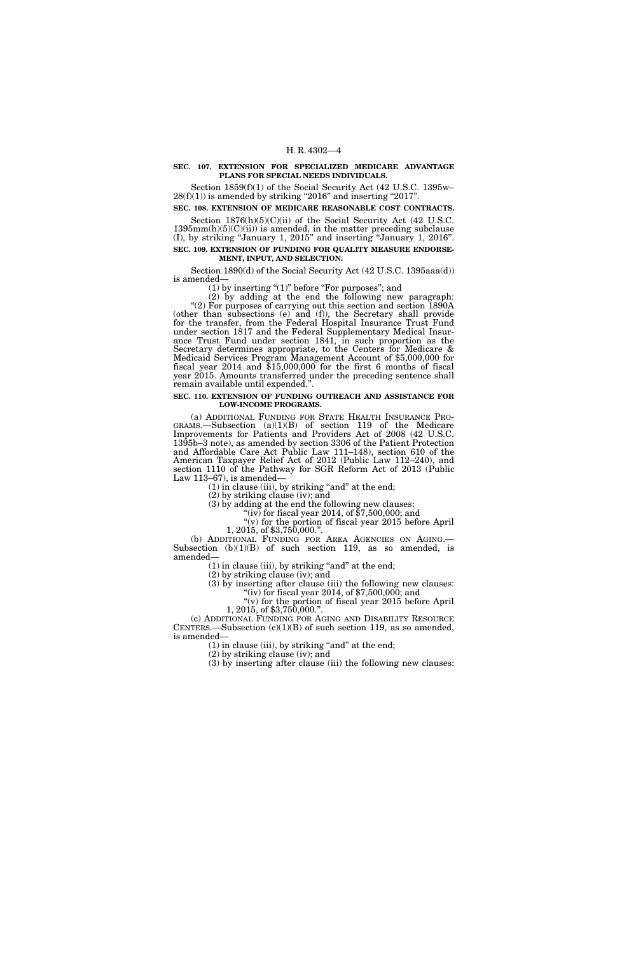#### **SEC. 107. EXTENSION FOR SPECIALIZED MEDICARE ADVANTAGE PLANS FOR SPECIAL NEEDS INDIVIDUALS.**

Section 1859(f)(1) of the Social Security Act (42 U.S.C. 1395w–  $28(f)(1)$ ) is amended by striking "2016" and inserting "2017".

**SEC. 108. EXTENSION OF MEDICARE REASONABLE COST CONTRACTS.**  Section  $1876(h)(5)(C)(ii)$  of the Social Security Act (42 U.S.C.

 $1395mm(h)(5)(C)(ii)$  is amended, in the matter preceding subclause (I), by striking ''January 1, 2015'' and inserting ''January 1, 2016''. **SEC. 109. EXTENSION OF FUNDING FOR QUALITY MEASURE ENDORSE-**

#### **MENT, INPUT, AND SELECTION.**

Section 1890(d) of the Social Security Act (42 U.S.C. 1395aaa(d)) is amended—

 $(1)$  by inserting " $(1)$ " before "For purposes"; and

(2) by adding at the end the following new paragraph: "(2) For purposes of carrying out this section and section 1890A (other than subsections (e) and (f)), the Secretary shall provide for the transfer, from the Federal Hospital Insurance Trust Fund under section 1817 and the Federal Supplementary Medical Insurance Trust Fund under section 1841, in such proportion as the Secretary determines appropriate, to the Centers for Medicare & Medicaid Services Program Management Account of \$5,000,000 for fiscal year 2014 and \$15,000,000 for the first 6 months of fiscal year 2015. Amounts transferred under the preceding sentence shall remain available until expended.''.

#### **SEC. 110. EXTENSION OF FUNDING OUTREACH AND ASSISTANCE FOR LOW-INCOME PROGRAMS.**

(a) ADDITIONAL FUNDING FOR STATE HEALTH INSURANCE PRO- GRAMS.—Subsection  $(a)(1)(B)$  of section 119 of the Medicare Improvements for Patients and Providers Act of 2008 (42 U.S.C. 1395b–3 note), as amended by section 3306 of the Patient Protection and Affordable Care Act Public Law 111–148), section 610 of the American Taxpayer Relief Act of 2012 (Public Law 112–240), and section 1110 of the Pathway for SGR Reform Act of 2013 (Public Law 113–67), is amended—

 $(1)$  in clause (iii), by striking "and" at the end;

(2) by striking clause (iv); and

(3) by setting clause  $\langle \cdot, \cdot \rangle$ , the contract of  $\langle \cdot \rangle$  for fiscal year 2014, of \$7,500,000; and

 $(v)$  for the portion of fiscal year 2015 before April 1, 2015, of \$3,750,000.".<br>(b) ADDITIONAL FUNDING FOR AREA AGENCIES ON AGING.—

Subsection  $(b)(1)(B)$  of such section 119, as so amended, is amended—

 $(1)$  in clause (iii), by striking "and" at the end;

(2) by striking clause (iv); and

(3) by inserting after clause (iii) the following new clauses: "(iv) for fiscal year 2014, of  $$7,500,000$ ; and

 $\sqrt{\overline{v}}$  (v) for the portion of fiscal year 2015 before April 1, 2015, of \$3,750,000.".

(c) ADDITIONAL FUNDING FOR AGING AND DISABILITY RESOURCE CENTERS.—Subsection  $(c)(1)(B)$  of such section 119, as so amended, is amended—

 $(1)$  in clause (iii), by striking "and" at the end;

(2) by striking clause (iv); and (3) by inserting after clause (iii) the following new clauses: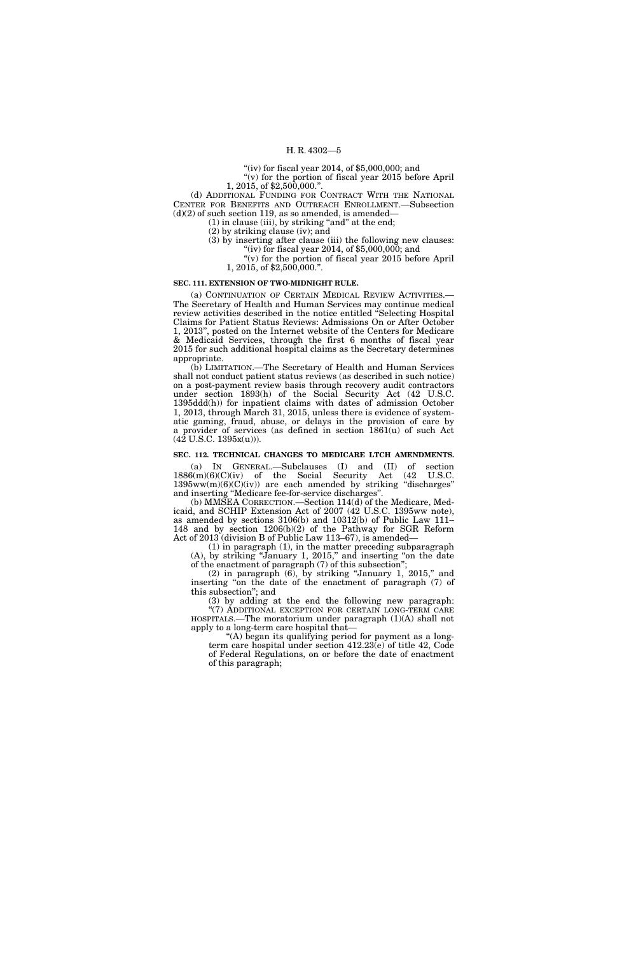"(iv) for fiscal year 2014, of  $$5,000,000$ ; and "(v) for the portion of fiscal year 2015 before April

1, 2015, of \$2,500,000.''.

(d) ADDITIONAL FUNDING FOR CONTRACT WITH THE NATIONAL CENTER FOR BENEFITS AND OUTREACH ENROLLMENT.—Subsection  $(d)(2)$  of such section 119, as so amended, is amended—

 $(1)$  in clause (iii), by striking "and" at the end;

(2) by striking clause (iv); and

(3) by inserting after clause (iii) the following new clauses: "(iv) for fiscal year 2014, of  $$5,000,000$ ; and

''(v) for the portion of fiscal year 2015 before April 1, 2015, of \$2,500,000.''.

#### **SEC. 111. EXTENSION OF TWO-MIDNIGHT RULE.**

(a) CONTINUATION OF CERTAIN MEDICAL REVIEW ACTIVITIES.— The Secretary of Health and Human Services may continue medical review activities described in the notice entitled ''Selecting Hospital Claims for Patient Status Reviews: Admissions On or After October 1, 2013'', posted on the Internet website of the Centers for Medicare & Medicaid Services, through the first 6 months of fiscal year 2015 for such additional hospital claims as the Secretary determines appropriate.

(b) LIMITATION.—The Secretary of Health and Human Services shall not conduct patient status reviews (as described in such notice) on a post-payment review basis through recovery audit contractors under section 1893(h) of the Social Security Act (42 U.S.C. 1395ddd(h)) for inpatient claims with dates of admission October 1, 2013, through March 31, 2015, unless there is evidence of systematic gaming, fraud, abuse, or delays in the provision of care by a provider of services (as defined in section 1861(u) of such Act (42 U.S.C. 1395x(u))).

#### **SEC. 112. TECHNICAL CHANGES TO MEDICARE LTCH AMENDMENTS.**

(a) IN GENERAL.—Subclauses (I) and (II) of section 1886(m)(6)(C)(iv) of the Social Security Act (42 U.S.C.  $1395ww(m)(6)(C)(iv)$  are each amended by striking "discharges" and inserting ''Medicare fee-for-service discharges''.

(b) MMSEA CORRECTION.—Section 114(d) of the Medicare, Medicaid, and SCHIP Extension Act of 2007 (42 U.S.C. 1395ww note), as amended by sections 3106(b) and 10312(b) of Public Law 111– 148 and by section 1206(b)(2) of the Pathway for SGR Reform Act of 2013 (division B of Public Law 113–67), is amended—

(1) in paragraph (1), in the matter preceding subparagraph (A), by striking ''January 1, 2015,'' and inserting ''on the date of the enactment of paragraph (7) of this subsection'';

 $(2)$  in paragraph  $(6)$ , by striking "January 1, 2015," and inserting "on the date of the enactment of paragraph (7) of this subsection''; and

(3) by adding at the end the following new paragraph: "(7) ADDITIONAL EXCEPTION FOR CERTAIN LONG-TERM CARE HOSPITALS.—The moratorium under paragraph (1)(A) shall not apply to a long-term care hospital that—

''(A) began its qualifying period for payment as a longterm care hospital under section 412.23(e) of title 42, Code of Federal Regulations, on or before the date of enactment of this paragraph;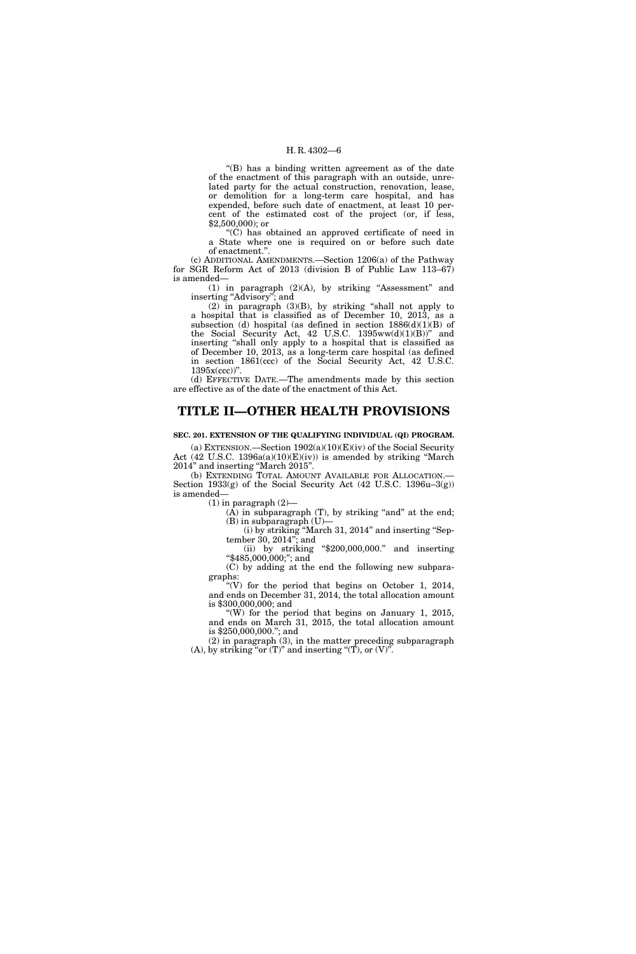"(B) has a binding written agreement as of the date of the enactment of this paragraph with an outside, unrelated party for the actual construction, renovation, lease, or demolition for a long-term care hospital, and has expended, before such date of enactment, at least 10 percent of the estimated cost of the project (or, if less, \$2,500,000); or

''(C) has obtained an approved certificate of need in a State where one is required on or before such date of enactment.''.

(c) ADDITIONAL AMENDMENTS.—Section 1206(a) of the Pathway for SGR Reform Act of 2013 (division B of Public Law 113–67) is amended—

(1) in paragraph  $(2)(A)$ , by striking "Assessment" and inserting "Advisory"; and

 $(2)$  in paragraph  $(3)(B)$ , by striking "shall not apply to a hospital that is classified as of December 10, 2013, as a subsection (d) hospital (as defined in section 1886(d)(1)(B) of the Social Security Act, 42 U.S.C.  $1395ww(d)(1)(B))$ " and inserting ''shall only apply to a hospital that is classified as of December 10, 2013, as a long-term care hospital (as defined in section 1861(ccc) of the Social Security Act, 42 U.S.C. 1395x(ccc))''.

(d) EFFECTIVE DATE.—The amendments made by this section are effective as of the date of the enactment of this Act.

### **TITLE II—OTHER HEALTH PROVISIONS**

**SEC. 201. EXTENSION OF THE QUALIFYING INDIVIDUAL (QI) PROGRAM.** 

(a) EXTENSION.—Section 1902(a)(10)(E)(iv) of the Social Security Act (42 U.S.C. 1396a(a)(10)(E)(iv)) is amended by striking ''March 2014'' and inserting ''March 2015''.

(b) EXTENDING TOTAL AMOUNT AVAILABLE FOR ALLOCATION.— Section 1933(g) of the Social Security Act (42 U.S.C. 1396u–3(g)) is amended—

 $(1)$  in paragraph  $(2)$ —

 $(A)$  in subparagraph  $(T)$ , by striking "and" at the end; (B) in subparagraph (U)—

(i) by striking ''March 31, 2014'' and inserting ''September 30, 2014''; and

(ii) by striking " $$200,000,000."$  and inserting "\$485,000,000;"; and

(C) by adding at the end the following new subparagraphs:

"(V) for the period that begins on October 1, 2014, and ends on December 31, 2014, the total allocation amount is \$300,000,000; and

"(W) for the period that begins on January 1, 2015, and ends on March 31, 2015, the total allocation amount is \$250,000,000.''; and

(2) in paragraph (3), in the matter preceding subparagraph (A), by striking "or  $(T)$ " and inserting " $(T)$ , or  $(V)$ ".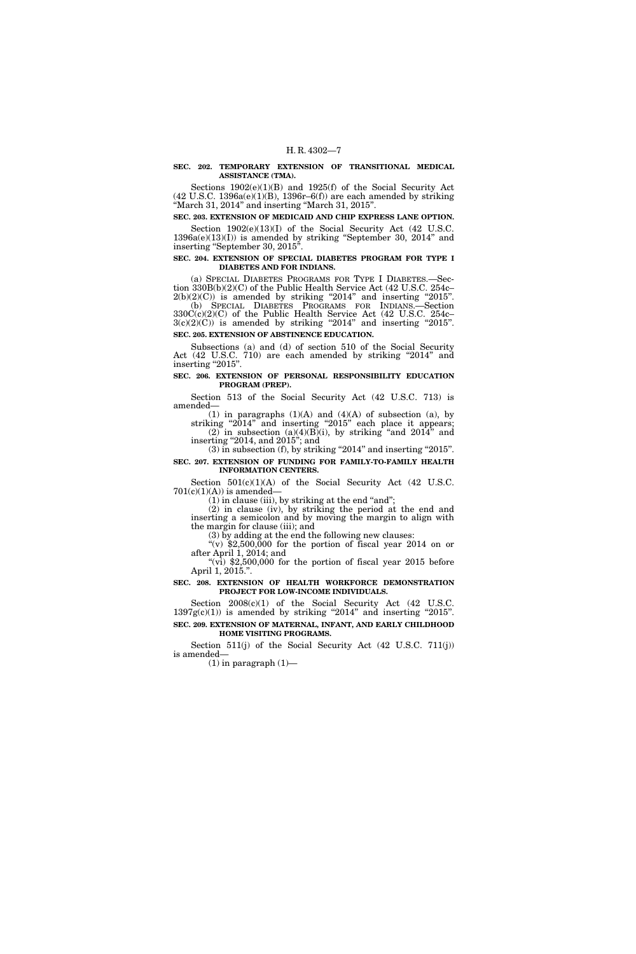#### **SEC. 202. TEMPORARY EXTENSION OF TRANSITIONAL MEDICAL ASSISTANCE (TMA).**

Sections 1902(e)(1)(B) and 1925(f) of the Social Security Act  $(42 \text{ U.S.C. } 1396a(e)(1)(B), 1396r-6(f))$  are each amended by striking ''March 31, 2014'' and inserting ''March 31, 2015''.

**SEC. 203. EXTENSION OF MEDICAID AND CHIP EXPRESS LANE OPTION.** 

Section  $1902(e)(13)(I)$  of the Social Security Act (42 U.S.C.  $1396a(e)(13)(I)$  is amended by striking "September 30, 2014" and inserting "September 30, 2015".

#### **SEC. 204. EXTENSION OF SPECIAL DIABETES PROGRAM FOR TYPE I DIABETES AND FOR INDIANS.**

(a) SPECIAL DIABETES PROGRAMS FOR TYPE I DIABETES.—Section 330B(b)(2)(C) of the Public Health Service Act (42 U.S.C. 254c–  $2(b)(2)(C)$  is amended by striking "2014" and inserting "2015". (b) SPECIAL DIABETES PROGRAMS FOR INDIANS.—Section

330C(c)(2)(C) of the Public Health Service Act (42 U.S.C. 254c–  $3(c)(2)(C)$  is amended by striking "2014" and inserting "2015". **SEC. 205. EXTENSION OF ABSTINENCE EDUCATION.** 

Subsections (a) and (d) of section 510 of the Social Security Act (42 U.S.C. 710) are each amended by striking "2014" and inserting "2015".

**SEC. 206. EXTENSION OF PERSONAL RESPONSIBILITY EDUCATION PROGRAM (PREP).** 

Section 513 of the Social Security Act (42 U.S.C. 713) is amended—

(1) in paragraphs  $(1)(A)$  and  $(4)(A)$  of subsection  $(a)$ , by striking "2014" and inserting "2015" each place it appears; (2) in subsection (a)(4)(B)(i), by striking "and  $2014$ " and inserting ''2014, and 2015''; and

 $(3)$  in subsection (f), by striking "2014" and inserting "2015". **SEC. 207. EXTENSION OF FUNDING FOR FAMILY-TO-FAMILY HEALTH** 

## **INFORMATION CENTERS.**

Section  $501(c)(1)(A)$  of the Social Security Act (42 U.S.C.  $701(c)(1)(A))$  is amended-

 $(1)$  in clause (iii), by striking at the end "and";

(2) in clause (iv), by striking the period at the end and inserting a semicolon and by moving the margin to align with the margin for clause (iii); and

(3) by adding at the end the following new clauses:

 $\sqrt[3]{(v)}$  \$2,500,000 for the portion of fiscal year 2014 on or after April 1, 2014; and

" $(vi)$  \$2,500,000 for the portion of fiscal year 2015 before April 1, 2015.''.

#### **SEC. 208. EXTENSION OF HEALTH WORKFORCE DEMONSTRATION PROJECT FOR LOW-INCOME INDIVIDUALS.**

Section 2008(c)(1) of the Social Security Act (42 U.S.C.  $1397g(c)(1)$  is amended by striking "2014" and inserting "2015". **SEC. 209. EXTENSION OF MATERNAL, INFANT, AND EARLY CHILDHOOD HOME VISITING PROGRAMS.** 

Section 511(j) of the Social Security Act (42 U.S.C. 711(j)) is amended—

 $(1)$  in paragraph  $(1)$ —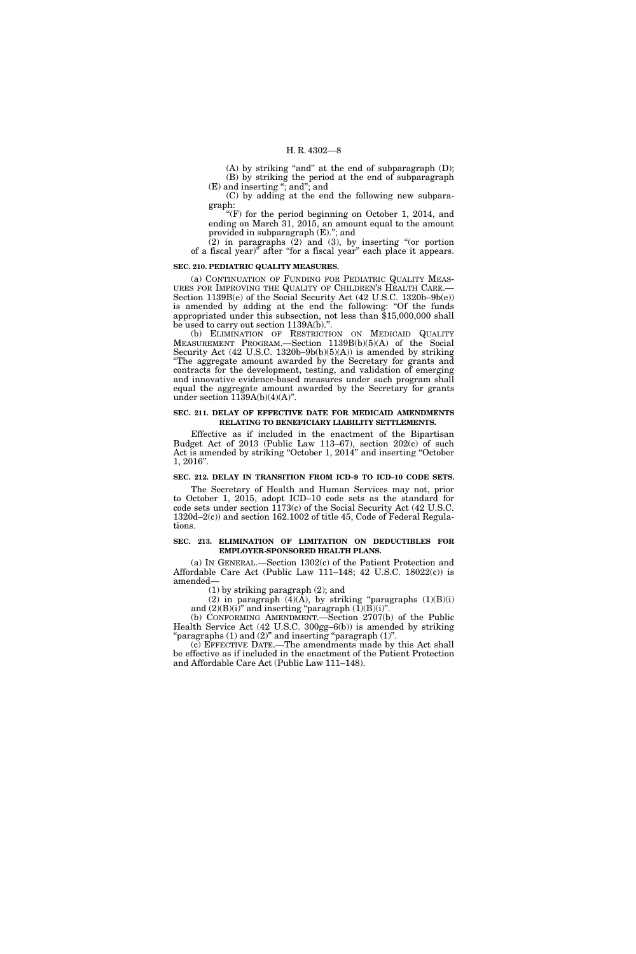(A) by striking "and" at the end of subparagraph (D); (B) by striking the period at the end of subparagraph (E) and inserting ''; and''; and

(C) by adding at the end the following new subparagraph:

" $(F)$  for the period beginning on October 1, 2014, and ending on March 31, 2015, an amount equal to the amount provided in subparagraph (E).''; and

(2) in paragraphs (2) and (3), by inserting ''(or portion of a fiscal year)'' after ''for a fiscal year'' each place it appears.

#### **SEC. 210. PEDIATRIC QUALITY MEASURES.**

(a) CONTINUATION OF FUNDING FOR PEDIATRIC QUALITY MEAS-URES FOR IMPROVING THE QUALITY OF CHILDREN'S HEALTH CARE.— Section 1139B(e) of the Social Security Act (42 U.S.C. 1320b–9b(e)) is amended by adding at the end the following: "Of the funds appropriated under this subsection, not less than \$15,000,000 shall be used to carry out section 1139A(b).''.

(b) ELIMINATION OF RESTRICTION ON MEDICAID QUALITY MEASUREMENT PROGRAM.—Section 1139B(b)(5)(A) of the Social Security Act  $(42 \text{ U.S.C. } 1320b-9b(b)(5)(A))$  is amended by striking ''The aggregate amount awarded by the Secretary for grants and contracts for the development, testing, and validation of emerging and innovative evidence-based measures under such program shall equal the aggregate amount awarded by the Secretary for grants under section  $1139A(b)(4)(A)$ ".

#### **SEC. 211. DELAY OF EFFECTIVE DATE FOR MEDICAID AMENDMENTS RELATING TO BENEFICIARY LIABILITY SETTLEMENTS.**

Effective as if included in the enactment of the Bipartisan Budget Act of 2013 (Public Law 113-67), section 202(c) of such Act is amended by striking "October 1, 2014" and inserting "October 1, 2016''.

#### **SEC. 212. DELAY IN TRANSITION FROM ICD–9 TO ICD–10 CODE SETS.**

The Secretary of Health and Human Services may not, prior to October 1, 2015, adopt ICD–10 code sets as the standard for code sets under section 1173(c) of the Social Security Act (42 U.S.C. 1320d–2(c)) and section 162.1002 of title 45, Code of Federal Regulations.

#### **SEC. 213. ELIMINATION OF LIMITATION ON DEDUCTIBLES FOR EMPLOYER-SPONSORED HEALTH PLANS.**

(a) IN GENERAL.—Section 1302(c) of the Patient Protection and Affordable Care Act (Public Law 111–148; 42 U.S.C. 18022(c)) is amended—

(1) by striking paragraph (2); and

(2) in paragraph  $(4)(\overline{A})$ , by striking "paragraphs  $(1)(B)(i)$ and  $(2)(B)(i)$ " and inserting "paragraph  $(\check{1})(\check{B})(i)$ ".

(b) CONFORMING AMENDMENT.—Section 2707(b) of the Public Health Service Act (42 U.S.C. 300gg–6(b)) is amended by striking " $\mathbf{p}$ aragraphs (1) and (2)" and inserting " $\mathbf{p}$ aragraph (1)".

(c) EFFECTIVE DATE.—The amendments made by this Act shall be effective as if included in the enactment of the Patient Protection and Affordable Care Act (Public Law 111–148).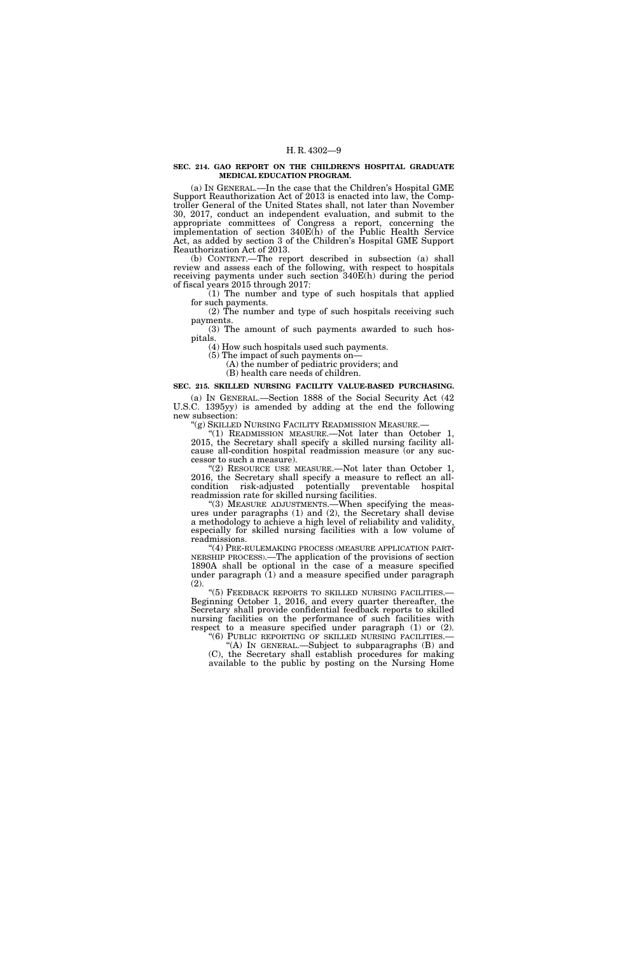#### **SEC. 214. GAO REPORT ON THE CHILDREN'S HOSPITAL GRADUATE MEDICAL EDUCATION PROGRAM.**

(a) IN GENERAL.—In the case that the Children's Hospital GME Support Reauthorization Act of 2013 is enacted into law, the Comptroller General of the United States shall, not later than November 30, 2017, conduct an independent evaluation, and submit to the appropriate committees of Congress a report, concerning the implementation of section 340E(h) of the Public Health Service Act, as added by section 3 of the Children's Hospital GME Support Reauthorization Act of 2013.

(b) CONTENT.—The report described in subsection (a) shall review and assess each of the following, with respect to hospitals receiving payments under such section 340E(h) during the period of fiscal years 2015 through 2017:

(1) The number and type of such hospitals that applied for such payments.

(2) The number and type of such hospitals receiving such payments.

(3) The amount of such payments awarded to such hospitals.

(4) How such hospitals used such payments.

(5) The impact of such payments on— (A) the number of pediatric providers; and

(B) health care needs of children.

#### **SEC. 215. SKILLED NURSING FACILITY VALUE-BASED PURCHASING.**

(a) IN GENERAL.—Section 1888 of the Social Security Act (42 U.S.C. 1395yy) is amended by adding at the end the following new subsection:

''(g) SKILLED NURSING FACILITY READMISSION MEASURE.—

''(1) READMISSION MEASURE.—Not later than October 1, 2015, the Secretary shall specify a skilled nursing facility allcause all-condition hospital readmission measure (or any successor to such a measure).

"(2) RESOURCE USE MEASURE.—Not later than October 1, 2016, the Secretary shall specify a measure to reflect an allcondition risk-adjusted potentially preventable hospital readmission rate for skilled nursing facilities.

"(3) MEASURE ADJUSTMENTS.—When specifying the measures under paragraphs (1) and (2), the Secretary shall devise a methodology to achieve a high level of reliability and validity, especially for skilled nursing facilities with a low volume of readmissions.

''(4) PRE-RULEMAKING PROCESS (MEASURE APPLICATION PART-NERSHIP PROCESS).—The application of the provisions of section 1890A shall be optional in the case of a measure specified under paragraph  $(1)$  and a measure specified under paragraph (2).

"(5) FEEDBACK REPORTS TO SKILLED NURSING FACILITIES.-Beginning October 1, 2016, and every quarter thereafter, the Secretary shall provide confidential feedback reports to skilled nursing facilities on the performance of such facilities with respect to a measure specified under paragraph (1) or (2).

"(6) PUBLIC REPORTING OF SKILLED NURSING FACILITIES.-''(A) IN GENERAL.—Subject to subparagraphs (B) and

(C), the Secretary shall establish procedures for making available to the public by posting on the Nursing Home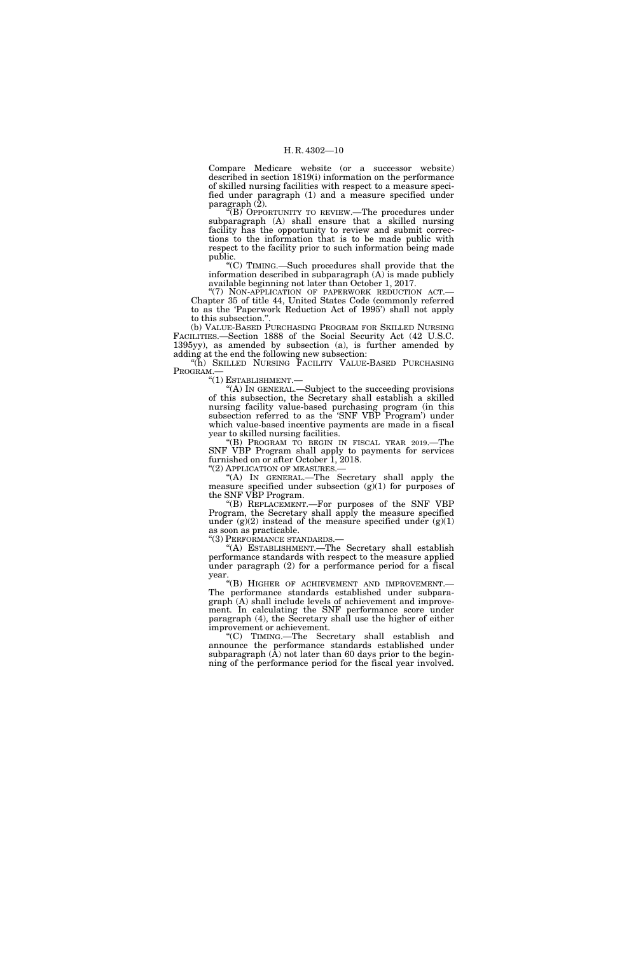Compare Medicare website (or a successor website) described in section 1819(i) information on the performance of skilled nursing facilities with respect to a measure specified under paragraph (1) and a measure specified under paragraph  $(\bar{2})$ .

 $F(B)$  OPPORTUNITY TO REVIEW.—The procedures under subparagraph (A) shall ensure that a skilled nursing facility has the opportunity to review and submit corrections to the information that is to be made public with respect to the facility prior to such information being made public.

''(C) TIMING.—Such procedures shall provide that the information described in subparagraph (A) is made publicly available beginning not later than October 1, 2017.

''(7) NON-APPLICATION OF PAPERWORK REDUCTION ACT.— Chapter 35 of title 44, United States Code (commonly referred to as the 'Paperwork Reduction Act of 1995') shall not apply to this subsection.''.

(b) VALUE-BASED PURCHASING PROGRAM FOR SKILLED NURSING FACILITIES.—Section 1888 of the Social Security Act (42 U.S.C. 1395yy), as amended by subsection (a), is further amended by adding at the end the following new subsection:

"(h) SKILLED NURSING FACILITY VALUE-BASED PURCHASING PROGRAM.—<br>"(1) ESTABLISHMENT.—

"(A) IN GENERAL.—Subject to the succeeding provisions of this subsection, the Secretary shall establish a skilled nursing facility value-based purchasing program (in this subsection referred to as the 'SNF VBP Program') under which value-based incentive payments are made in a fiscal year to skilled nursing facilities.

''(B) PROGRAM TO BEGIN IN FISCAL YEAR 2019.—The SNF VBP Program shall apply to payments for services furnished on or after October 1, 2018.<br>"(2) APPLICATION OF MEASURES.—

"(A) IN GENERAL.—The Secretary shall apply the measure specified under subsection  $(g)(1)$  for purposes of the SNF VBP Program.

''(B) REPLACEMENT.—For purposes of the SNF VBP Program, the Secretary shall apply the measure specified under  $(g)(2)$  instead of the measure specified under  $(g)(1)$ as soon as practicable.

''(3) PERFORMANCE STANDARDS.—

''(A) ESTABLISHMENT.—The Secretary shall establish performance standards with respect to the measure applied under paragraph (2) for a performance period for a fiscal year.<br>"(B) HIGHER OF ACHIEVEMENT AND IMPROVEMENT.—

The performance standards established under subparagraph (A) shall include levels of achievement and improvement. In calculating the SNF performance score under paragraph (4), the Secretary shall use the higher of either improvement or achievement.

''(C) TIMING.—The Secretary shall establish and announce the performance standards established under subparagraph  $(\hat{A})$  not later than 60 days prior to the beginning of the performance period for the fiscal year involved.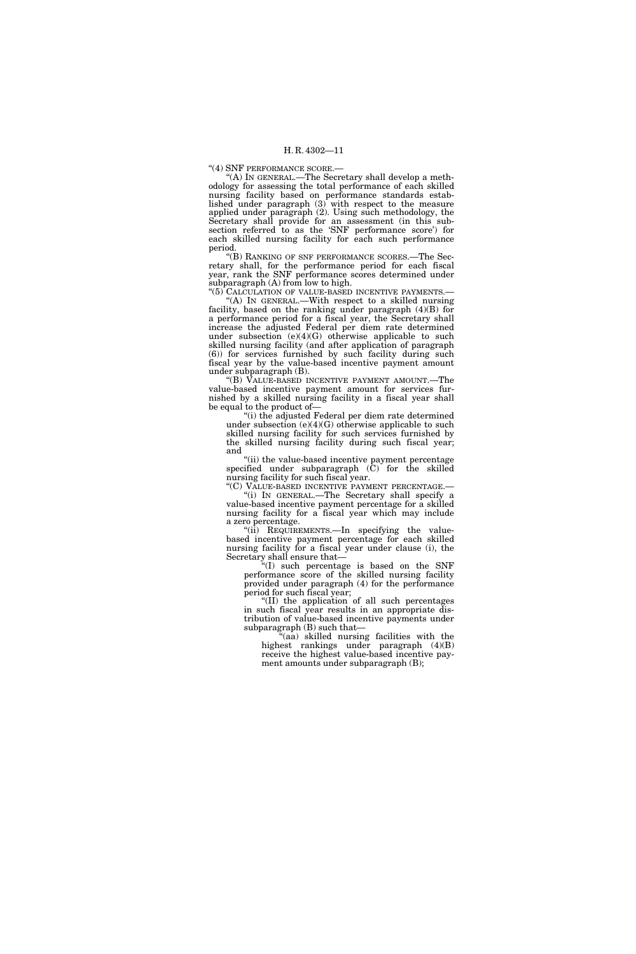''(4) SNF PERFORMANCE SCORE.—

''(A) IN GENERAL.—The Secretary shall develop a methodology for assessing the total performance of each skilled nursing facility based on performance standards established under paragraph (3) with respect to the measure applied under paragraph (2). Using such methodology, the Secretary shall provide for an assessment (in this subsection referred to as the 'SNF performance score') for each skilled nursing facility for each such performance period.

''(B) RANKING OF SNF PERFORMANCE SCORES.—The Secretary shall, for the performance period for each fiscal year, rank the SNF performance scores determined under subparagraph (A) from low to high.

"(5) CALCULATION OF VALUE-BASED INCENTIVE PAYMENTS.— ''(A) IN GENERAL.—With respect to a skilled nursing facility, based on the ranking under paragraph (4)(B) for a performance period for a fiscal year, the Secretary shall increase the adjusted Federal per diem rate determined under subsection  $(e)(4)(G)$  otherwise applicable to such skilled nursing facility (and after application of paragraph (6)) for services furnished by such facility during such fiscal year by the value-based incentive payment amount under subparagraph (B).

''(B) VALUE-BASED INCENTIVE PAYMENT AMOUNT.—The value-based incentive payment amount for services furnished by a skilled nursing facility in a fiscal year shall be equal to the product of—

''(i) the adjusted Federal per diem rate determined under subsection  $(e)(4)(G)$  otherwise applicable to such skilled nursing facility for such services furnished by the skilled nursing facility during such fiscal year; and

"(ii) the value-based incentive payment percentage specified under subparagraph  $(\tilde{C})$  for the skilled nursing facility for such fiscal year.

''(C) VALUE-BASED INCENTIVE PAYMENT PERCENTAGE.— ''(i) IN GENERAL.—The Secretary shall specify a

value-based incentive payment percentage for a skilled nursing facility for a fiscal year which may include a zero percentage.

''(ii) REQUIREMENTS.—In specifying the valuebased incentive payment percentage for each skilled nursing facility for a fiscal year under clause (i), the Secretary shall ensure that—

''(I) such percentage is based on the SNF performance score of the skilled nursing facility provided under paragraph (4) for the performance period for such fiscal year;

''(II) the application of all such percentages in such fiscal year results in an appropriate distribution of value-based incentive payments under subparagraph (B) such that—

''(aa) skilled nursing facilities with the highest rankings under paragraph (4)(B) receive the highest value-based incentive payment amounts under subparagraph (B);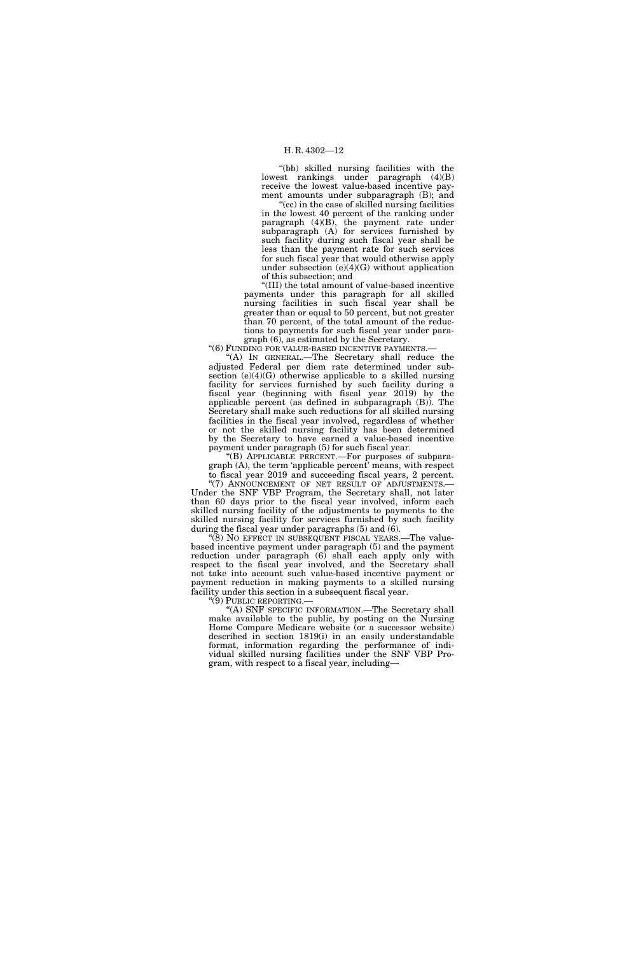''(bb) skilled nursing facilities with the lowest rankings under paragraph (4)(B) receive the lowest value-based incentive payment amounts under subparagraph (B); and

"(cc) in the case of skilled nursing facilities" in the lowest 40 percent of the ranking under paragraph (4)(B), the payment rate under subparagraph (A) for services furnished by such facility during such fiscal year shall be less than the payment rate for such services for such fiscal year that would otherwise apply under subsection  $(e)(4)(G)$  without application of this subsection; and

''(III) the total amount of value-based incentive payments under this paragraph for all skilled nursing facilities in such fiscal year shall be greater than or equal to 50 percent, but not greater than 70 percent, of the total amount of the reductions to payments for such fiscal year under paragraph (6), as estimated by the Secretary.

"(6) FUNDING FOR VALUE-BASED INCENTIVE PAYMENTS.-

''(A) IN GENERAL.—The Secretary shall reduce the adjusted Federal per diem rate determined under subsection  $(e)(4)(G)$  otherwise applicable to a skilled nursing facility for services furnished by such facility during a fiscal year (beginning with fiscal year 2019) by the applicable percent (as defined in subparagraph (B)). The Secretary shall make such reductions for all skilled nursing facilities in the fiscal year involved, regardless of whether or not the skilled nursing facility has been determined by the Secretary to have earned a value-based incentive payment under paragraph (5) for such fiscal year.

''(B) APPLICABLE PERCENT.—For purposes of subparagraph (A), the term 'applicable percent' means, with respect to fiscal year 2019 and succeeding fiscal years, 2 percent.

"(7) ANNOUNCEMENT OF NET RESULT OF ADJUSTMENTS.-Under the SNF VBP Program, the Secretary shall, not later than 60 days prior to the fiscal year involved, inform each skilled nursing facility of the adjustments to payments to the skilled nursing facility for services furnished by such facility during the fiscal year under paragraphs (5) and (6).

 $\degree$ (8) NO EFFECT IN SUBSEQUENT FISCAL YEARS.—The valuebased incentive payment under paragraph (5) and the payment reduction under paragraph (6) shall each apply only with respect to the fiscal year involved, and the Secretary shall not take into account such value-based incentive payment or payment reduction in making payments to a skilled nursing facility under this section in a subsequent fiscal year.

''(9) PUBLIC REPORTING.—

''(A) SNF SPECIFIC INFORMATION.—The Secretary shall make available to the public, by posting on the Nursing Home Compare Medicare website (or a successor website) described in section 1819(i) in an easily understandable format, information regarding the performance of individual skilled nursing facilities under the SNF VBP Program, with respect to a fiscal year, including—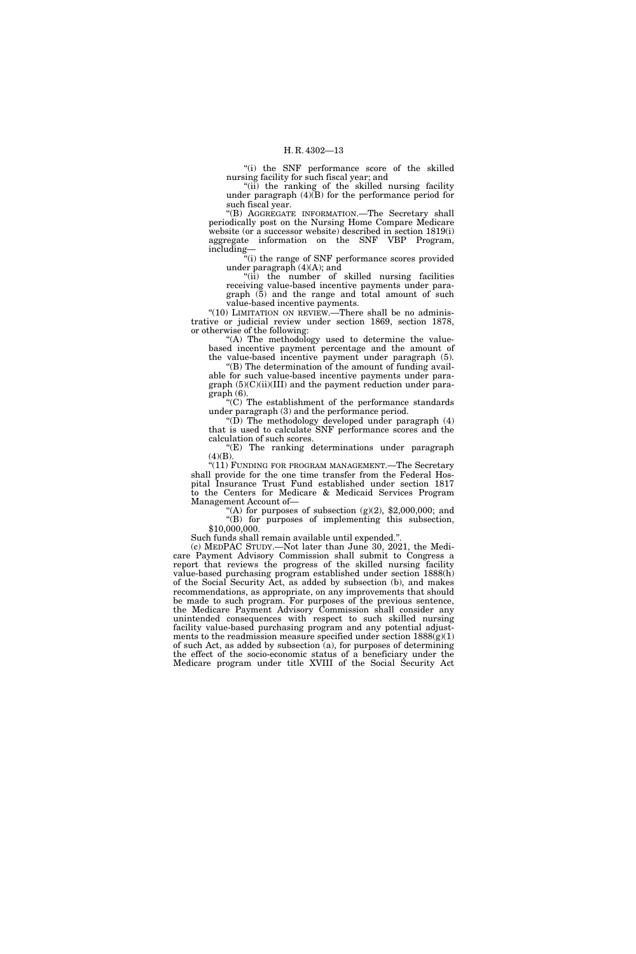''(i) the SNF performance score of the skilled nursing facility for such fiscal year; and

"(ii) the ranking of the skilled nursing facility under paragraph  $(4)(B)$  for the performance period for such fiscal year.

''(B) AGGREGATE INFORMATION.—The Secretary shall periodically post on the Nursing Home Compare Medicare website (or a successor website) described in section 1819(i) aggregate information on the SNF VBP Program, including—

''(i) the range of SNF performance scores provided under paragraph (4)(A); and

"(ii) the number of skilled nursing facilities receiving value-based incentive payments under para $graph$   $(\bar{5})$  and the range and total amount of such value-based incentive payments.

"(10) LIMITATION ON REVIEW.—There shall be no administrative or judicial review under section 1869, section 1878, or otherwise of the following:

"(A) The methodology used to determine the valuebased incentive payment percentage and the amount of the value-based incentive payment under paragraph (5).

 $f(B)$  The determination of the amount of funding available for such value-based incentive payments under paragraph (5)(C)(ii)(III) and the payment reduction under paragraph (6).

''(C) The establishment of the performance standards under paragraph (3) and the performance period.

''(D) The methodology developed under paragraph (4) that is used to calculate SNF performance scores and the calculation of such scores.

''(E) The ranking determinations under paragraph  $(4)(B).$ 

"(11) FUNDING FOR PROGRAM MANAGEMENT.—The Secretary shall provide for the one time transfer from the Federal Hospital Insurance Trust Fund established under section 1817 to the Centers for Medicare & Medicaid Services Program Management Account of—

"(A) for purposes of subsection  $(g)(2)$ , \$2,000,000; and ''(B) for purposes of implementing this subsection, \$10,000,000.

Such funds shall remain available until expended.''.

(c) MEDPAC STUDY.—Not later than June 30, 2021, the Medicare Payment Advisory Commission shall submit to Congress a report that reviews the progress of the skilled nursing facility value-based purchasing program established under section 1888(h) of the Social Security Act, as added by subsection (b), and makes recommendations, as appropriate, on any improvements that should be made to such program. For purposes of the previous sentence, the Medicare Payment Advisory Commission shall consider any unintended consequences with respect to such skilled nursing facility value-based purchasing program and any potential adjustments to the readmission measure specified under section  $1888(g)(1)$ of such Act, as added by subsection (a), for purposes of determining the effect of the socio-economic status of a beneficiary under the Medicare program under title XVIII of the Social Security Act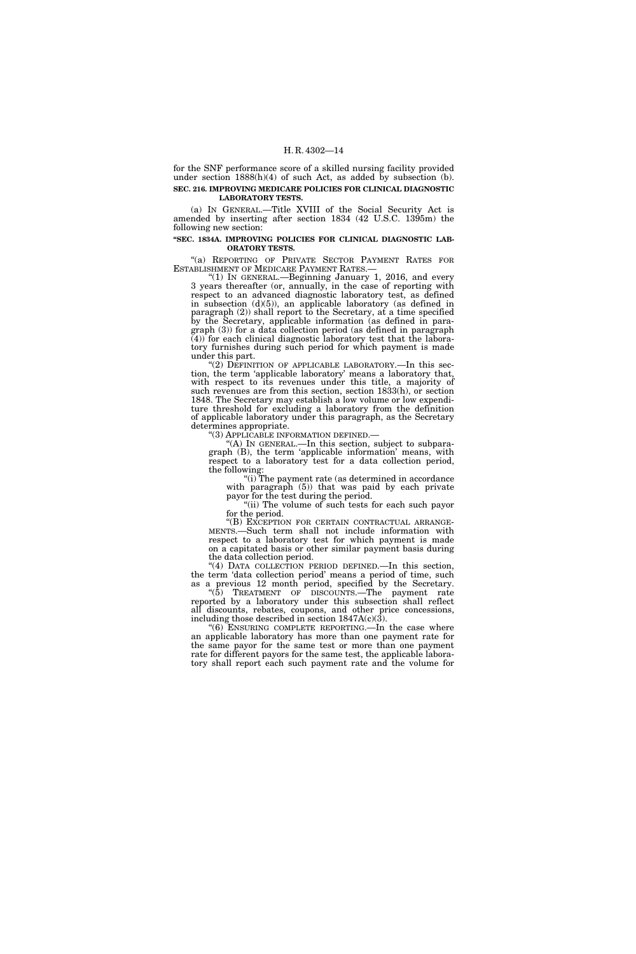for the SNF performance score of a skilled nursing facility provided under section 1888(h)(4) of such Act, as added by subsection (b). **SEC. 216. IMPROVING MEDICARE POLICIES FOR CLINICAL DIAGNOSTIC LABORATORY TESTS.** 

(a) IN GENERAL.—Title XVIII of the Social Security Act is amended by inserting after section 1834 (42 U.S.C. 1395m) the following new section:

#### **''SEC. 1834A. IMPROVING POLICIES FOR CLINICAL DIAGNOSTIC LAB-ORATORY TESTS.**

"(a) REPORTING OF PRIVATE SECTOR PAYMENT RATES FOR ESTABLISHMENT OF MEDICARE PAYMENT RATES.—

" $(1)$  In GENERAL.—Beginning January 1, 2016, and every 3 years thereafter (or, annually, in the case of reporting with respect to an advanced diagnostic laboratory test, as defined in subsection (d)(5)), an applicable laboratory (as defined in paragraph (2)) shall report to the Secretary, at a time specified by the Secretary, applicable information (as defined in paragraph (3)) for a data collection period (as defined in paragraph (4)) for each clinical diagnostic laboratory test that the laboratory furnishes during such period for which payment is made under this part.

 $(2)$  DEFINITION OF APPLICABLE LABORATORY.—In this section, the term 'applicable laboratory' means a laboratory that, with respect to its revenues under this title, a majority of such revenues are from this section, section 1833(h), or section 1848. The Secretary may establish a low volume or low expenditure threshold for excluding a laboratory from the definition of applicable laboratory under this paragraph, as the Secretary determines appropriate.<br>"(3) APPLICABLE INFORMATION DEFINED.—

''(3) APPLICABLE INFORMATION DEFINED.— ''(A) IN GENERAL.—In this section, subject to subparagraph (B), the term 'applicable information' means, with respect to a laboratory test for a data collection period, the following:

''(i) The payment rate (as determined in accordance with paragraph (5)) that was paid by each private payor for the test during the period.

''(ii) The volume of such tests for each such payor

for the period.<br>"(B) EXCEPTION FOR CERTAIN CONTRACTUAL ARRANGE-MENTS.—Such term shall not include information with respect to a laboratory test for which payment is made on a capitated basis or other similar payment basis during the data collection period.

''(4) DATA COLLECTION PERIOD DEFINED.—In this section, the term 'data collection period' means a period of time, such as a previous 12 month period, specified by the Secretary.

''(5) TREATMENT OF DISCOUNTS.—The payment rate reported by a laboratory under this subsection shall reflect all discounts, rebates, coupons, and other price concessions, including those described in section  $1847A(c)(3)$ .

''(6) ENSURING COMPLETE REPORTING.—In the case where an applicable laboratory has more than one payment rate for the same payor for the same test or more than one payment rate for different payors for the same test, the applicable laboratory shall report each such payment rate and the volume for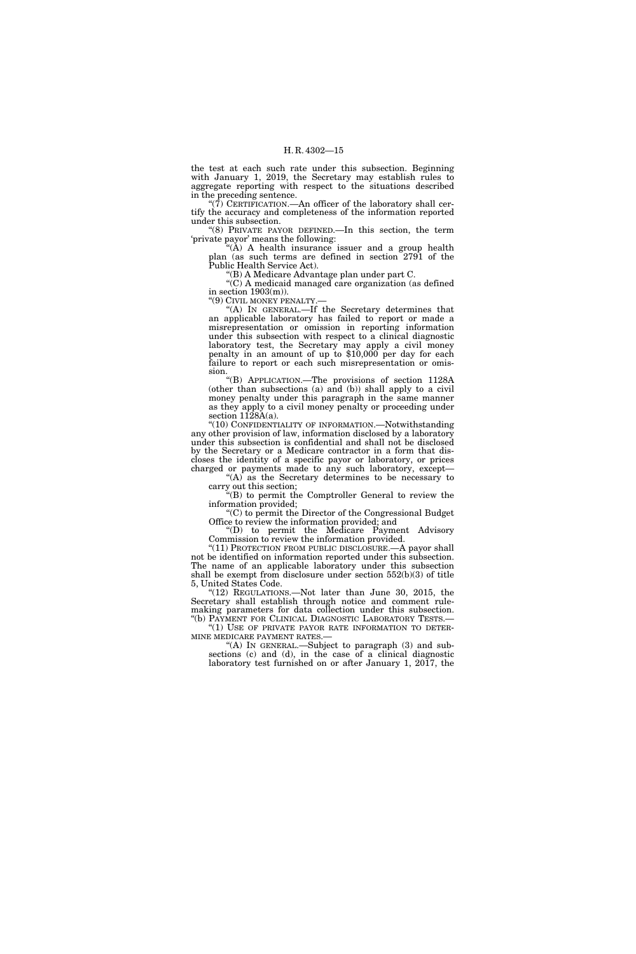the test at each such rate under this subsection. Beginning with January 1, 2019, the Secretary may establish rules to aggregate reporting with respect to the situations described in the preceding sentence.

" $(\overline{7})$  CERTIFICATION.—An officer of the laboratory shall certify the accuracy and completeness of the information reported under this subsection.

''(8) PRIVATE PAYOR DEFINED.—In this section, the term 'private payor' means the following:

 $(A)$  A health insurance issuer and a group health plan (as such terms are defined in section 2791 of the Public Health Service Act).

''(B) A Medicare Advantage plan under part C.

''(C) A medicaid managed care organization (as defined in section  $1903(m)$ .

"(9) CIVIL MONEY PENALTY.-

''(A) IN GENERAL.—If the Secretary determines that an applicable laboratory has failed to report or made a misrepresentation or omission in reporting information under this subsection with respect to a clinical diagnostic laboratory test, the Secretary may apply a civil money penalty in an amount of up to \$10,000 per day for each failure to report or each such misrepresentation or omission.

''(B) APPLICATION.—The provisions of section 1128A (other than subsections (a) and (b)) shall apply to a civil money penalty under this paragraph in the same manner as they apply to a civil money penalty or proceeding under section  $1128A(a)$ .

''(10) CONFIDENTIALITY OF INFORMATION.—Notwithstanding any other provision of law, information disclosed by a laboratory under this subsection is confidential and shall not be disclosed by the Secretary or a Medicare contractor in a form that discloses the identity of a specific payor or laboratory, or prices charged or payments made to any such laboratory, except—

" $(A)$  as the Secretary determines to be necessary to carry out this section;

''(B) to permit the Comptroller General to review the information provided;

''(C) to permit the Director of the Congressional Budget Office to review the information provided; and

''(D) to permit the Medicare Payment Advisory Commission to review the information provided.

"(11) PROTECTION FROM PUBLIC DISCLOSURE.—A payor shall not be identified on information reported under this subsection. The name of an applicable laboratory under this subsection shall be exempt from disclosure under section 552(b)(3) of title 5, United States Code.

"(12) REGULATIONS.—Not later than June 30, 2015, the Secretary shall establish through notice and comment rulemaking parameters for data collection under this subsection.

''(b) PAYMENT FOR CLINICAL DIAGNOSTIC LABORATORY TESTS.— ''(1) USE OF PRIVATE PAYOR RATE INFORMATION TO DETER- MINE MEDICARE PAYMENT RATES.— ''(A) IN GENERAL.—Subject to paragraph (3) and sub-

sections (c) and (d), in the case of a clinical diagnostic laboratory test furnished on or after January 1, 2017, the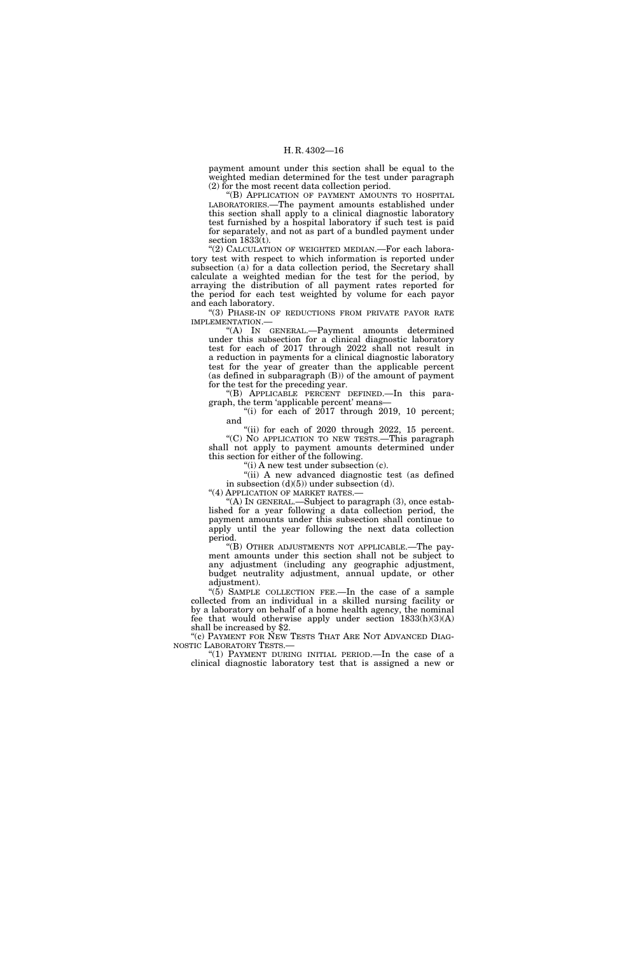payment amount under this section shall be equal to the weighted median determined for the test under paragraph (2) for the most recent data collection period.

''(B) APPLICATION OF PAYMENT AMOUNTS TO HOSPITAL LABORATORIES.—The payment amounts established under this section shall apply to a clinical diagnostic laboratory test furnished by a hospital laboratory if such test is paid for separately, and not as part of a bundled payment under section  $1833(t)$ .

"(2) CALCULATION OF WEIGHTED MEDIAN.—For each laboratory test with respect to which information is reported under subsection (a) for a data collection period, the Secretary shall calculate a weighted median for the test for the period, by arraying the distribution of all payment rates reported for the period for each test weighted by volume for each payor and each laboratory.

''(3) PHASE-IN OF REDUCTIONS FROM PRIVATE PAYOR RATE IMPLEMENTATION.—

''(A) IN GENERAL.—Payment amounts determined under this subsection for a clinical diagnostic laboratory test for each of 2017 through 2022 shall not result in a reduction in payments for a clinical diagnostic laboratory test for the year of greater than the applicable percent (as defined in subparagraph (B)) of the amount of payment for the test for the preceding year.

''(B) APPLICABLE PERCENT DEFINED.—In this paragraph, the term 'applicable percent' means—

"(i) for each of 2017 through 2019, 10 percent; and

 $(iii)$  for each of 2020 through 2022, 15 percent. ''(C) NO APPLICATION TO NEW TESTS.—This paragraph shall not apply to payment amounts determined under this section for either of the following.

"(i) A new test under subsection (c).

"(ii) A new advanced diagnostic test (as defined in subsection  $(d)(5)$ ) under subsection  $(d)$ .

"(4) APPLICATION OF MARKET RATES.-

"(A) In GENERAL.—Subject to paragraph (3), once established for a year following a data collection period, the payment amounts under this subsection shall continue to apply until the year following the next data collection period.

''(B) OTHER ADJUSTMENTS NOT APPLICABLE.—The payment amounts under this section shall not be subject to any adjustment (including any geographic adjustment, budget neutrality adjustment, annual update, or other adjustment).

" $(5)$  SAMPLE COLLECTION FEE.—In the case of a sample collected from an individual in a skilled nursing facility or by a laboratory on behalf of a home health agency, the nominal fee that would otherwise apply under section 1833(h)(3)(A) shall be increased by \$2.

"(c) PAYMENT FOR NEW TESTS THAT ARE NOT ADVANCED DIAG-NOSTIC LABORATORY TESTS.—

"(1) PAYMENT DURING INITIAL PERIOD.—In the case of a clinical diagnostic laboratory test that is assigned a new or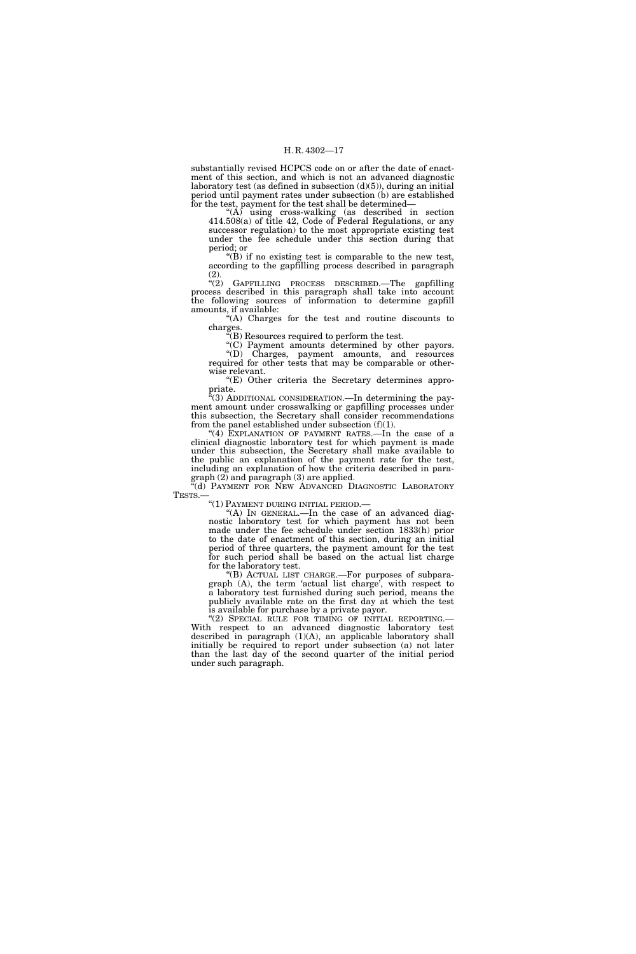substantially revised HCPCS code on or after the date of enactment of this section, and which is not an advanced diagnostic laboratory test (as defined in subsection  $(d)(5)$ ), during an initial period until payment rates under subsection (b) are established for the test, payment for the test shall be determined—

" $(A)$  using cross-walking (as described in section 414.508(a) of title 42, Code of Federal Regulations, or any successor regulation) to the most appropriate existing test under the fee schedule under this section during that period; or

''(B) if no existing test is comparable to the new test, according to the gapfilling process described in paragraph  $\binom{2}{3}$ .

GAPFILLING PROCESS DESCRIBED.—The gapfilling process described in this paragraph shall take into account the following sources of information to determine gapfill amounts, if available:

''(A) Charges for the test and routine discounts to charges.

''(B) Resources required to perform the test.

''(C) Payment amounts determined by other payors. ''(D) Charges, payment amounts, and resources required for other tests that may be comparable or otherwise relevant.

''(E) Other criteria the Secretary determines appropriate.

 $\mathcal{H}(3)$  ADDITIONAL CONSIDERATION.—In determining the payment amount under crosswalking or gapfilling processes under this subsection, the Secretary shall consider recommendations from the panel established under subsection  $(f)(1)$ .

"(4) EXPLANATION OF PAYMENT RATES.—In the case of a clinical diagnostic laboratory test for which payment is made under this subsection, the Secretary shall make available to the public an explanation of the payment rate for the test, including an explanation of how the criteria described in paragraph (2) and paragraph (3) are applied.

"(d) PAYMENT FOR NEW ADVANCED DIAGNOSTIC LABORATORY TESTS.—<br>"(1) PAYMENT DURING INITIAL PERIOD.—

''(A) IN GENERAL.—In the case of an advanced diagnostic laboratory test for which payment has not been made under the fee schedule under section 1833(h) prior to the date of enactment of this section, during an initial period of three quarters, the payment amount for the test for such period shall be based on the actual list charge for the laboratory test.

''(B) ACTUAL LIST CHARGE.—For purposes of subparagraph (A), the term 'actual list charge', with respect to a laboratory test furnished during such period, means the publicly available rate on the first day at which the test is available for purchase by a private payor.

''(2) SPECIAL RULE FOR TIMING OF INITIAL REPORTING.— With respect to an advanced diagnostic laboratory test described in paragraph (1)(A), an applicable laboratory shall initially be required to report under subsection (a) not later than the last day of the second quarter of the initial period under such paragraph.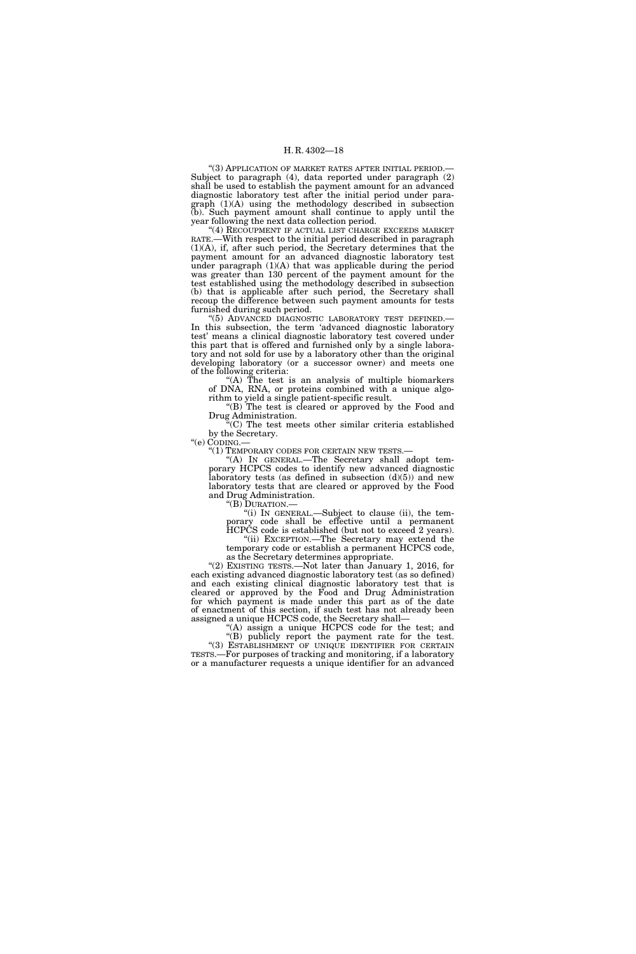"(3) APPLICATION OF MARKET RATES AFTER INITIAL PERIOD.-Subject to paragraph (4), data reported under paragraph (2) shall be used to establish the payment amount for an advanced diagnostic laboratory test after the initial period under paragraph (1)(A) using the methodology described in subsection (b). Such payment amount shall continue to apply until the year following the next data collection period.

"(4) RECOUPMENT IF ACTUAL LIST CHARGE EXCEEDS MARKET RATE.—With respect to the initial period described in paragraph (1)(A), if, after such period, the Secretary determines that the payment amount for an advanced diagnostic laboratory test under paragraph  $(1)(A)$  that was applicable during the period was greater than 130 percent of the payment amount for the test established using the methodology described in subsection (b) that is applicable after such period, the Secretary shall recoup the difference between such payment amounts for tests furnished during such period.

'(5) ADVANCED DIAGNOSTIC LABORATORY TEST DEFINED.-In this subsection, the term 'advanced diagnostic laboratory test' means a clinical diagnostic laboratory test covered under this part that is offered and furnished only by a single laboratory and not sold for use by a laboratory other than the original developing laboratory (or a successor owner) and meets one of the following criteria:

''(A) The test is an analysis of multiple biomarkers of DNA, RNA, or proteins combined with a unique algorithm to yield a single patient-specific result.

''(B) The test is cleared or approved by the Food and Drug Administration.

''(C) The test meets other similar criteria established by the Secretary.

"(e) CODING.—<br>"(1) TEMPORARY CODES FOR CERTAIN NEW TESTS.—

"(A) IN GENERAL.—The Secretary shall adopt temporary HCPCS codes to identify new advanced diagnostic laboratory tests (as defined in subsection  $(d)(5)$ ) and new laboratory tests that are cleared or approved by the Food and Drug Administration.

''(B) DURATION.—

''(i) IN GENERAL.—Subject to clause (ii), the temporary code shall be effective until a permanent HCPCS code is established (but not to exceed 2 years).

''(ii) EXCEPTION.—The Secretary may extend the temporary code or establish a permanent HCPCS code, as the Secretary determines appropriate.

"(2) EXISTING TESTS.—Not later than January 1, 2016, for each existing advanced diagnostic laboratory test (as so defined) and each existing clinical diagnostic laboratory test that is cleared or approved by the Food and Drug Administration for which payment is made under this part as of the date of enactment of this section, if such test has not already been assigned a unique HCPCS code, the Secretary shall—

"(A) assign a unique HCPCS code for the test; and "(B) publicly report the payment rate for the test.

"(3) ESTABLISHMENT OF UNIQUE IDENTIFIER FOR CERTAIN TESTS.—For purposes of tracking and monitoring, if a laboratory or a manufacturer requests a unique identifier for an advanced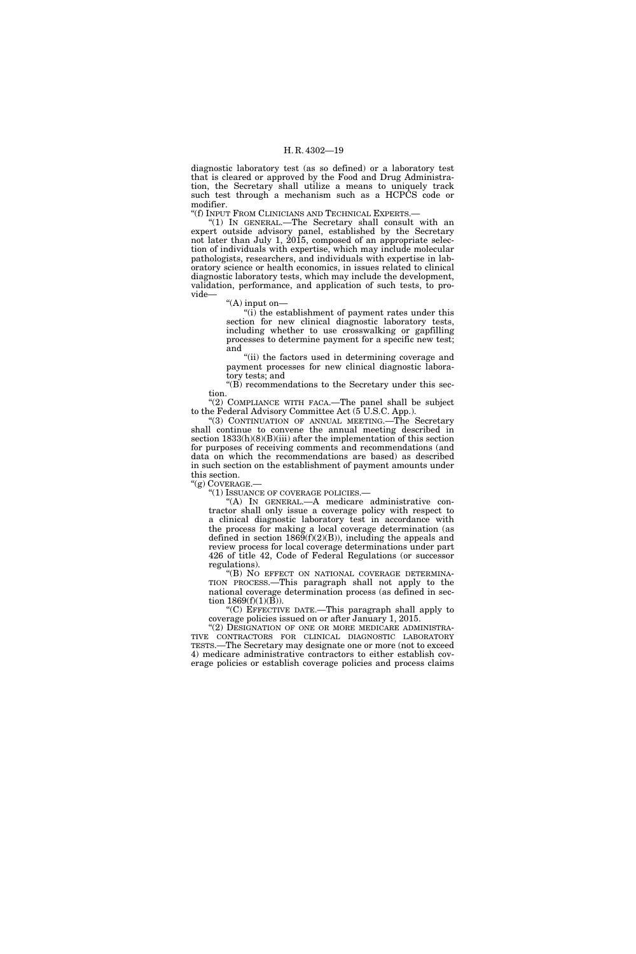diagnostic laboratory test (as so defined) or a laboratory test that is cleared or approved by the Food and Drug Administration, the Secretary shall utilize a means to uniquely track such test through a mechanism such as a HCPCS code or modifier.

''(f) INPUT FROM CLINICIANS AND TECHNICAL EXPERTS.—

''(1) IN GENERAL.—The Secretary shall consult with an expert outside advisory panel, established by the Secretary not later than July 1, 2015, composed of an appropriate selection of individuals with expertise, which may include molecular pathologists, researchers, and individuals with expertise in laboratory science or health economics, in issues related to clinical diagnostic laboratory tests, which may include the development, validation, performance, and application of such tests, to provide—

''(A) input on—

" $(i)$  the establishment of payment rates under this section for new clinical diagnostic laboratory tests, including whether to use crosswalking or gapfilling processes to determine payment for a specific new test; and

"(ii) the factors used in determining coverage and payment processes for new clinical diagnostic laboratory tests; and

''(B) recommendations to the Secretary under this section.

" $(2)$  COMPLIANCE WITH FACA.—The panel shall be subject to the Federal Advisory Committee Act (5 U.S.C. App.).

''(3) CONTINUATION OF ANNUAL MEETING.—The Secretary shall continue to convene the annual meeting described in section  $1833(h)(8)(Bi)(iii)$  after the implementation of this section for purposes of receiving comments and recommendations (and data on which the recommendations are based) as described in such section on the establishment of payment amounts under this section.

 $''(g)$  COVERAGE.—

''(1) ISSUANCE OF COVERAGE POLICIES.—

''(A) IN GENERAL.—A medicare administrative contractor shall only issue a coverage policy with respect to a clinical diagnostic laboratory test in accordance with the process for making a local coverage determination (as defined in section  $1869(f)(2)(B)$ , including the appeals and review process for local coverage determinations under part 426 of title 42, Code of Federal Regulations (or successor regulations).

''(B) NO EFFECT ON NATIONAL COVERAGE DETERMINA-TION PROCESS.—This paragraph shall not apply to the national coverage determination process (as defined in section  $1869(f)(1)(B)$ ).

''(C) EFFECTIVE DATE.—This paragraph shall apply to coverage policies issued on or after January 1, 2015.

"(2) DESIGNATION OF ONE OR MORE MEDICARE ADMINISTRA-TIVE CONTRACTORS FOR CLINICAL DIAGNOSTIC LABORATORY TESTS.—The Secretary may designate one or more (not to exceed 4) medicare administrative contractors to either establish coverage policies or establish coverage policies and process claims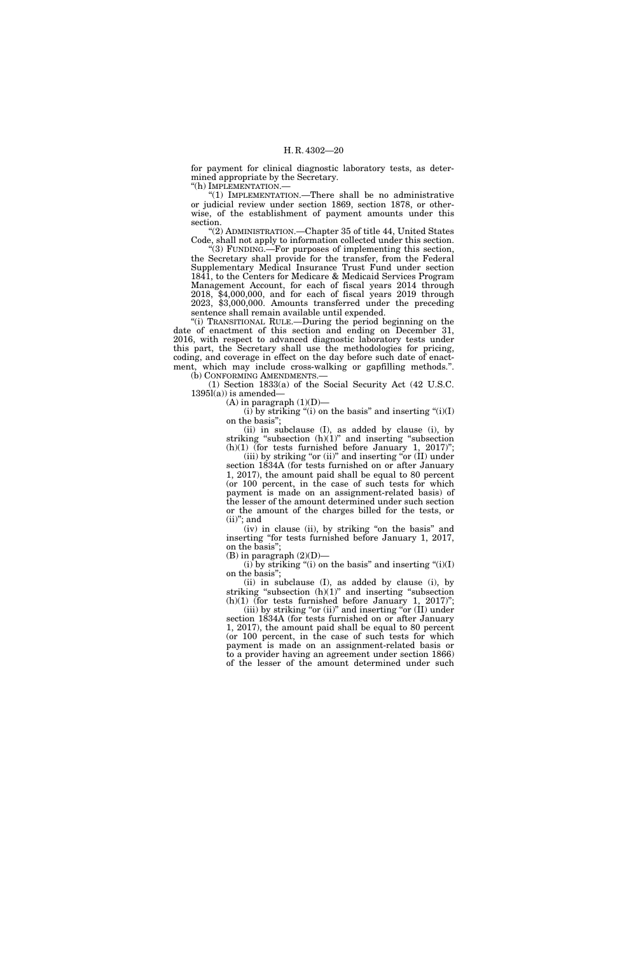for payment for clinical diagnostic laboratory tests, as determined appropriate by the Secretary.

''(h) IMPLEMENTATION.—

(1) IMPLEMENTATION.—There shall be no administrative or judicial review under section 1869, section 1878, or otherwise, of the establishment of payment amounts under this section.

''(2) ADMINISTRATION.—Chapter 35 of title 44, United States Code, shall not apply to information collected under this section. ''(3) FUNDING.—For purposes of implementing this section,

the Secretary shall provide for the transfer, from the Federal Supplementary Medical Insurance Trust Fund under section 1841, to the Centers for Medicare & Medicaid Services Program Management Account, for each of fiscal years 2014 through 2018, \$4,000,000, and for each of fiscal years 2019 through 2023, \$3,000,000. Amounts transferred under the preceding sentence shall remain available until expended.

"(i) TRANSITIONAL RULE.—During the period beginning on the date of enactment of this section and ending on December 31, 2016, with respect to advanced diagnostic laboratory tests under this part, the Secretary shall use the methodologies for pricing, coding, and coverage in effect on the day before such date of enactment, which may include cross-walking or gapfilling methods.''. (b) CONFORMING AMENDMENTS.

(1) Section 1833(a) of the Social Security Act (42 U.S.C.  $1395l(a)$ ) is amended-

 $(A)$  in paragraph  $(1)(D)$ —

(i) by striking "(i) on the basis" and inserting " $(i)(I)$ on the basis'';

(ii) in subclause (I), as added by clause (i), by striking "subsection  $(h)(1)$ " and inserting "subsection  $(h)(1)$  (for tests furnished before January 1, 2017)";

(iii) by striking "or (ii)" and inserting "or  $(II)$  under section 1834A (for tests furnished on or after January 1, 2017), the amount paid shall be equal to 80 percent (or 100 percent, in the case of such tests for which payment is made on an assignment-related basis) of the lesser of the amount determined under such section or the amount of the charges billed for the tests, or  $(ii)$ "; and

(iv) in clause (ii), by striking ''on the basis'' and inserting "for tests furnished before January 1, 2017, on the basis'';

(B) in paragraph (2)(D)—

 $(i)$  by striking "(i) on the basis" and inserting " $(i)(I)$ on the basis'';

(ii) in subclause (I), as added by clause (i), by striking "subsection  $(h)(1)$ " and inserting "subsection (h)(1) (for tests furnished before January 1, 2017)";

(iii) by striking "or (ii)" and inserting "or  $(II)$  under section 1834A (for tests furnished on or after January 1, 2017), the amount paid shall be equal to 80 percent (or 100 percent, in the case of such tests for which payment is made on an assignment-related basis or to a provider having an agreement under section 1866) of the lesser of the amount determined under such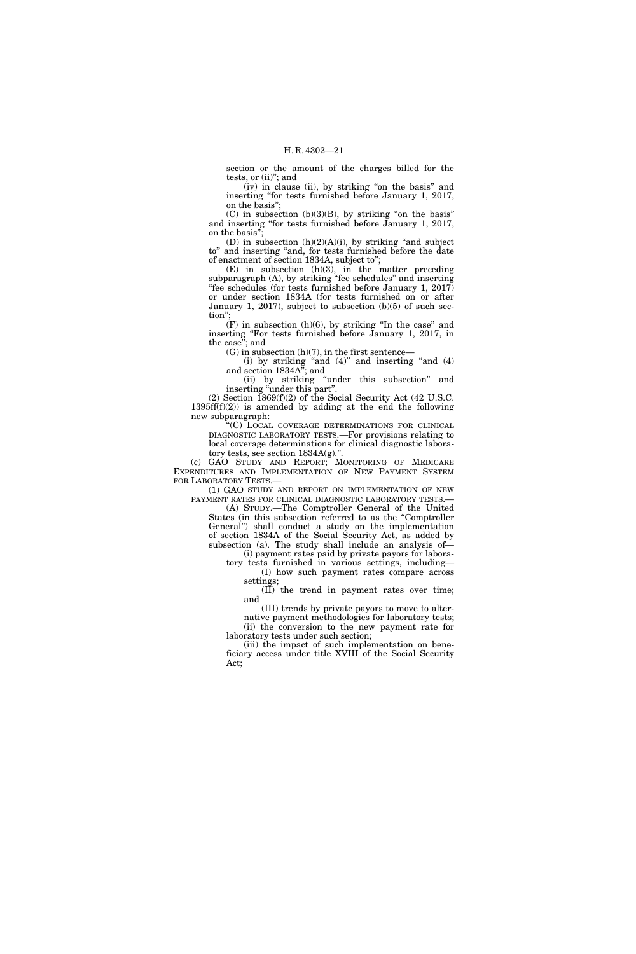section or the amount of the charges billed for the tests, or (ii)''; and

(iv) in clause (ii), by striking ''on the basis'' and inserting "for tests furnished before January 1, 2017, on the basis'';

 $(C)$  in subsection  $(b)(3)(B)$ , by striking "on the basis" and inserting ''for tests furnished before January 1, 2017, on the basis'';

(D) in subsection  $(h)(2)(A)(i)$ , by striking "and subject to'' and inserting ''and, for tests furnished before the date of enactment of section 1834A, subject to'';

(E) in subsection (h)(3), in the matter preceding subparagraph (A), by striking "fee schedules" and inserting ''fee schedules (for tests furnished before January 1, 2017) or under section 1834A (for tests furnished on or after January 1, 2017), subject to subsection (b)(5) of such section"

 $(F)$  in subsection  $(h)(6)$ , by striking "In the case" and inserting ''For tests furnished before January 1, 2017, in the case''; and

 $(G)$  in subsection  $(h)(7)$ , in the first sentence—

(i) by striking "and  $(4)$ " and inserting "and  $(4)$ " and section 1834A''; and

(ii) by striking ''under this subsection'' and inserting "under this part".

(2) Section 1869(f)(2) of the Social Security Act (42 U.S.C. 1395ff(f)(2)) is amended by adding at the end the following new subparagraph:

''(C) LOCAL COVERAGE DETERMINATIONS FOR CLINICAL DIAGNOSTIC LABORATORY TESTS.—For provisions relating to local coverage determinations for clinical diagnostic laboratory tests, see section 1834A(g).''.

(c) GAO STUDY AND REPORT; MONITORING OF MEDICARE EXPENDITURES AND IMPLEMENTATION OF NEW PAYMENT SYSTEM FOR LABORATORY TESTS.—

(1) GAO STUDY AND REPORT ON IMPLEMENTATION OF NEW PAYMENT RATES FOR CLINICAL DIAGNOSTIC LABORATORY TESTS.—

(A) STUDY.—The Comptroller General of the United States (in this subsection referred to as the ''Comptroller General'') shall conduct a study on the implementation of section 1834A of the Social Security Act, as added by subsection (a). The study shall include an analysis of—

(i) payment rates paid by private payors for laboratory tests furnished in various settings, including— (I) how such payment rates compare across

settings;  $(\overrightarrow{II})$  the trend in payment rates over time;

and (III) trends by private payors to move to alter-

native payment methodologies for laboratory tests; (ii) the conversion to the new payment rate for laboratory tests under such section;

(iii) the impact of such implementation on beneficiary access under title XVIII of the Social Security Act;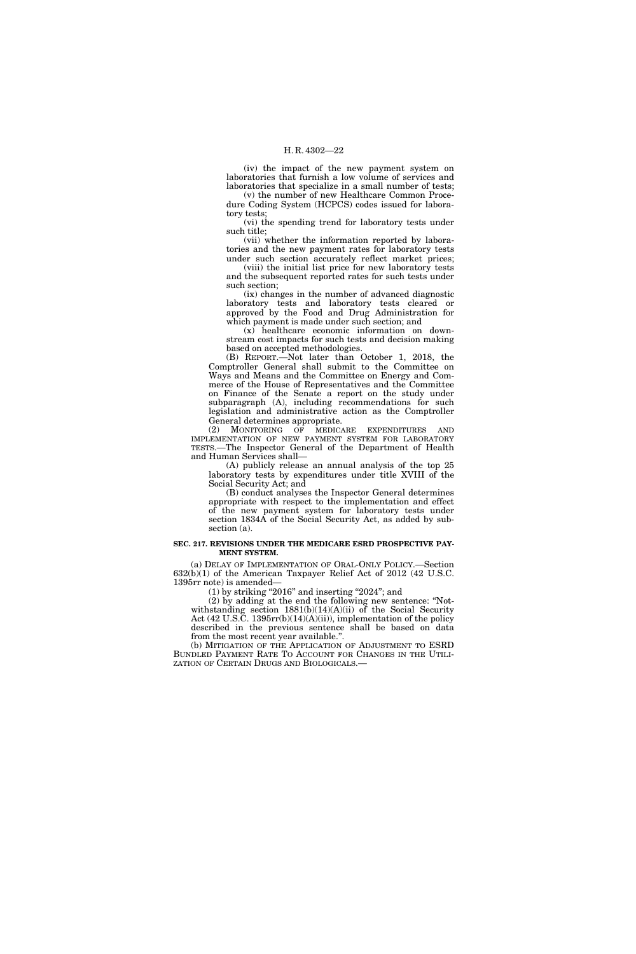(iv) the impact of the new payment system on laboratories that furnish a low volume of services and laboratories that specialize in a small number of tests;

(v) the number of new Healthcare Common Procedure Coding System (HCPCS) codes issued for laboratory tests;

(vi) the spending trend for laboratory tests under such title;

(vii) whether the information reported by laboratories and the new payment rates for laboratory tests

under such section accurately reflect market prices; (viii) the initial list price for new laboratory tests and the subsequent reported rates for such tests under such section;

(ix) changes in the number of advanced diagnostic laboratory tests and laboratory tests cleared or approved by the Food and Drug Administration for which payment is made under such section; and

(x) healthcare economic information on downstream cost impacts for such tests and decision making based on accepted methodologies.

(B) REPORT.—Not later than October 1, 2018, the Comptroller General shall submit to the Committee on Ways and Means and the Committee on Energy and Commerce of the House of Representatives and the Committee on Finance of the Senate a report on the study under subparagraph (A), including recommendations for such legislation and administrative action as the Comptroller General determines appropriate.

(2) MONITORING OF MEDICARE EXPENDITURES AND IMPLEMENTATION OF NEW PAYMENT SYSTEM FOR LABORATORY TESTS.—The Inspector General of the Department of Health and Human Services shall—

(A) publicly release an annual analysis of the top 25 laboratory tests by expenditures under title XVIII of the Social Security Act; and

(B) conduct analyses the Inspector General determines appropriate with respect to the implementation and effect of the new payment system for laboratory tests under section 1834A of the Social Security Act, as added by subsection (a).

#### **SEC. 217. REVISIONS UNDER THE MEDICARE ESRD PROSPECTIVE PAY-MENT SYSTEM.**

(a) DELAY OF IMPLEMENTATION OF ORAL-ONLY POLICY.—Section 632(b)(1) of the American Taxpayer Relief Act of 2012 (42 U.S.C. 1395rr note) is amended—

 $(1)$  by striking "2016" and inserting "2024"; and

(2) by adding at the end the following new sentence: ''Notwithstanding section  $1881(b)(14)(A)(ii)$  of the Social Security Act (42 U.S.C. 1395rr(b)(14)(A)(ii)), implementation of the policy described in the previous sentence shall be based on data from the most recent year available.''.

(b) MITIGATION OF THE APPLICATION OF ADJUSTMENT TO ESRD BUNDLED PAYMENT RATE TO ACCOUNT FOR CHANGES IN THE UTILI-ZATION OF CERTAIN DRUGS AND BIOLOGICALS.—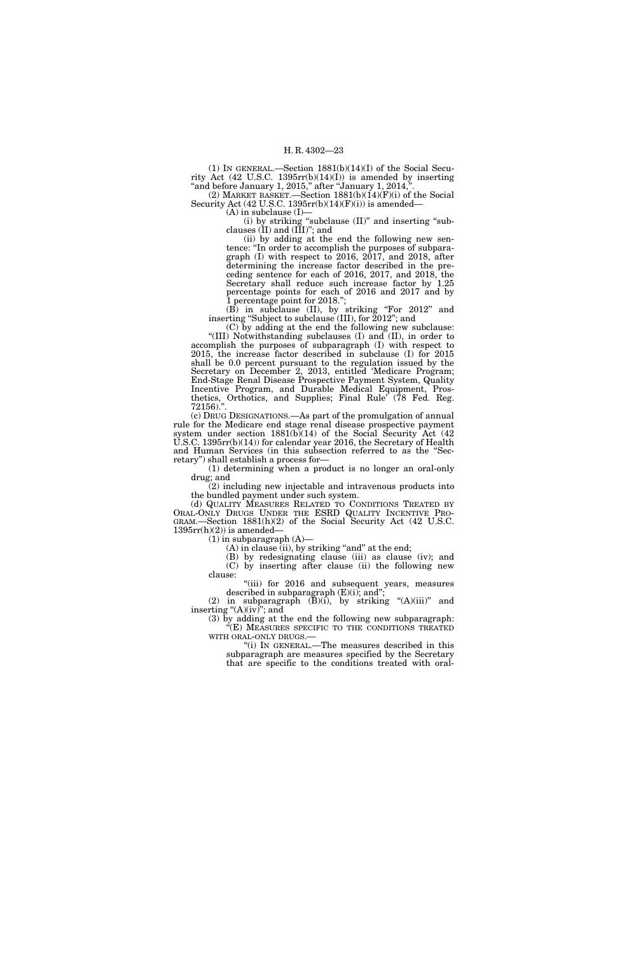(1) IN GENERAL.—Section  $1881(b)(14)(I)$  of the Social Security Act (42 U.S.C. 1395rr(b)(14)(I)) is amended by inserting "and before January 1, 2015," after "January 1, 2014,".

(2) MARKET BASKET.—Section  $1881(b)(14)(F)(i)$  of the Social Security Act (42 U.S.C. 1395 $rr(b)(14)(F)(i)$ ) is amended–

(A) in subclause (I)—

(i) by striking ''subclause (II)'' and inserting ''subclauses (II) and (III)''; and

(ii) by adding at the end the following new sentence: ''In order to accomplish the purposes of subparagraph (I) with respect to 2016, 2017, and 2018, after determining the increase factor described in the preceding sentence for each of 2016, 2017, and 2018, the Secretary shall reduce such increase factor by 1.25 percentage points for each of 2016 and 2017 and by 1 percentage point for 2018.'';

(B) in subclause (II), by striking ''For 2012'' and inserting "Subject to subclause (III), for 2012"; and

(C) by adding at the end the following new subclause: ''(III) Notwithstanding subclauses (I) and (II), in order to accomplish the purposes of subparagraph (I) with respect to 2015, the increase factor described in subclause (I) for 2015 shall be 0.0 percent pursuant to the regulation issued by the Secretary on December 2, 2013, entitled 'Medicare Program; End-Stage Renal Disease Prospective Payment System, Quality Incentive Program, and Durable Medical Equipment, Prosthetics, Orthotics, and Supplies; Final Rule' (78 Fed. Reg. 72156).''.

(c) DRUG DESIGNATIONS.—As part of the promulgation of annual rule for the Medicare end stage renal disease prospective payment system under section  $1881(b)(14)$  of the Social Security Act (42 U.S.C. 1395rr(b)(14)) for calendar year 2016, the Secretary of Health and Human Services (in this subsection referred to as the ''Secretary'') shall establish a process for—

(1) determining when a product is no longer an oral-only drug; and

(2) including new injectable and intravenous products into the bundled payment under such system.

(d) QUALITY MEASURES RELATED TO CONDITIONS TREATED BY ORAL-ONLY DRUGS UNDER THE ESRD QUALITY INCENTIVE PRO-GRAM.—Section 1881(h)(2) of the Social Security Act (42 U.S.C.  $1395rr(h)(2)$ ) is amended-

 $(1)$  in subparagraph  $(A)$ —

 $(A)$  in clause (ii), by striking "and" at the end;

(B) by redesignating clause (iii) as clause (iv); and (C) by inserting after clause (ii) the following new clause:

"(iii) for 2016 and subsequent years, measures described in subparagraph (E)(i); and'';

(2) in subparagraph  $(\overline{B})(i)$ , by striking " $(A)(iii)$ " and inserting " $(A)(iv)$ "; and

(3) by adding at the end the following new subparagraph: ''(E) MEASURES SPECIFIC TO THE CONDITIONS TREATED WITH ORAL-ONLY DRUGS.—<br>"(i) IN GENERAL.—The measures described in this

subparagraph are measures specified by the Secretary that are specific to the conditions treated with oral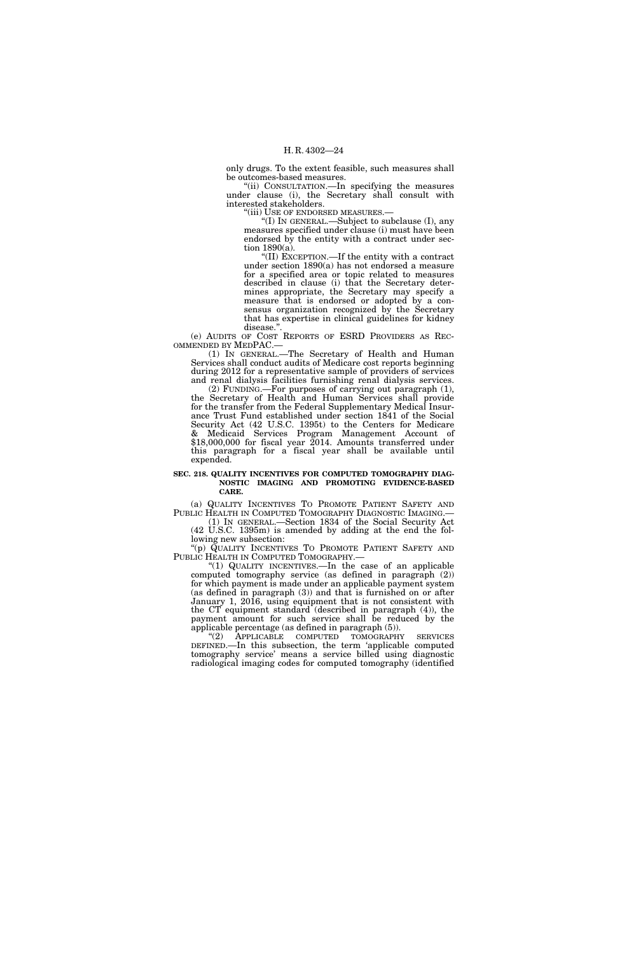only drugs. To the extent feasible, such measures shall be outcomes-based measures.

''(ii) CONSULTATION.—In specifying the measures under clause (i), the Secretary shall consult with interested stakeholders.

''(iii) USE OF ENDORSED MEASURES.—

''(I) IN GENERAL.—Subject to subclause (I), any measures specified under clause (i) must have been endorsed by the entity with a contract under section 1890(a).

''(II) EXCEPTION.—If the entity with a contract under section 1890(a) has not endorsed a measure for a specified area or topic related to measures described in clause (i) that the Secretary determines appropriate, the Secretary may specify a measure that is endorsed or adopted by a consensus organization recognized by the Secretary that has expertise in clinical guidelines for kidney disease."

(e) AUDITS OF COST REPORTS OF ESRD PROVIDERS AS REC-OMMENDED BY MEDPAC.—

(1) IN GENERAL.—The Secretary of Health and Human Services shall conduct audits of Medicare cost reports beginning during 2012 for a representative sample of providers of services and renal dialysis facilities furnishing renal dialysis services.

(2) FUNDING.—For purposes of carrying out paragraph (1), the Secretary of Health and Human Services shall provide for the transfer from the Federal Supplementary Medical Insurance Trust Fund established under section 1841 of the Social Security Act (42 U.S.C. 1395t) to the Centers for Medicare & Medicaid Services Program Management Account of \$18,000,000 for fiscal year 2014. Amounts transferred under this paragraph for a fiscal year shall be available until expended.

#### **SEC. 218. QUALITY INCENTIVES FOR COMPUTED TOMOGRAPHY DIAG-NOSTIC IMAGING AND PROMOTING EVIDENCE-BASED CARE.**

(a) QUALITY INCENTIVES TO PROMOTE PATIENT SAFETY AND PUBLIC HEALTH IN COMPUTED TOMOGRAPHY DIAGNOSTIC IMAGING.— PUBLIC HEALTH IN COMPUTED TOMOGRAPHY DIAGNOSTIC IMAGING.— (1) IN GENERAL.—Section 1834 of the Social Security Act

(42 U.S.C. 1395m) is amended by adding at the end the following new subsection:

''(p) QUALITY INCENTIVES TO PROMOTE PATIENT SAFETY AND PUBLIC HEALTH IN COMPUTED TOMOGRAPHY.—

"(1) QUALITY INCENTIVES.—In the case of an applicable computed tomography service (as defined in paragraph (2)) for which payment is made under an applicable payment system (as defined in paragraph (3)) and that is furnished on or after January 1, 2016, using equipment that is not consistent with the CT equipment standard (described in paragraph (4)), the payment amount for such service shall be reduced by the applicable percentage (as defined in paragraph (5)).

''(2) APPLICABLE COMPUTED TOMOGRAPHY SERVICES DEFINED.—In this subsection, the term 'applicable computed tomography service' means a service billed using diagnostic radiological imaging codes for computed tomography (identified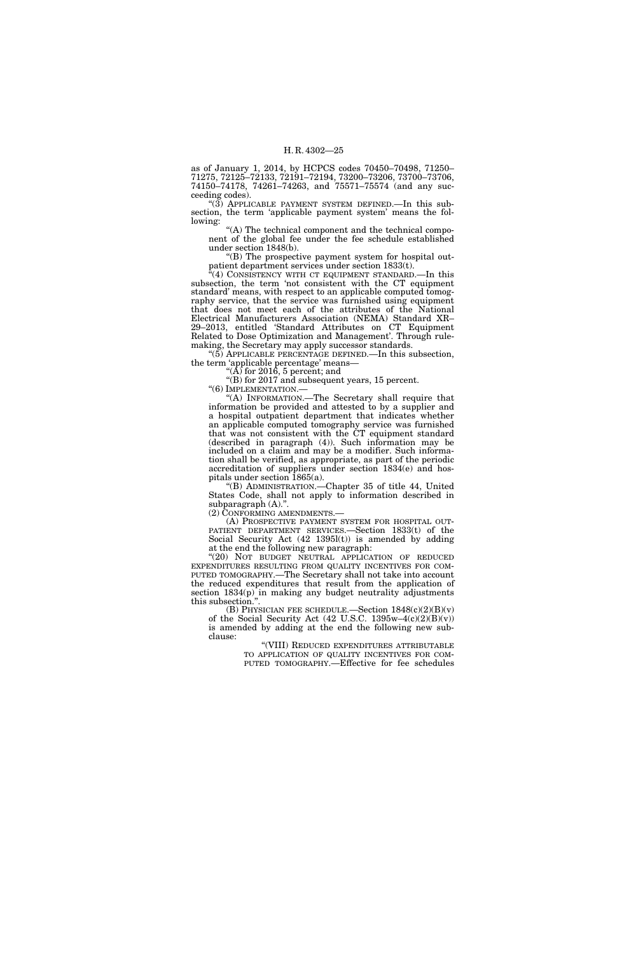as of January 1, 2014, by HCPCS codes 70450–70498, 71250– 71275, 72125–72133, 72191–72194, 73200–73206, 73700–73706, 74150–74178, 74261–74263, and 75571–75574 (and any succeeding codes).

" $(3)$  APPLICABLE PAYMENT SYSTEM DEFINED.—In this subsection, the term 'applicable payment system' means the following:

"(A) The technical component and the technical component of the global fee under the fee schedule established under section 1848(b).

''(B) The prospective payment system for hospital outpatient department services under section 1833(t).

"(4) CONSISTENCY WITH CT EQUIPMENT STANDARD.—In this subsection, the term 'not consistent with the CT equipment standard' means, with respect to an applicable computed tomography service, that the service was furnished using equipment that does not meet each of the attributes of the National Electrical Manufacturers Association (NEMA) Standard XR– 29–2013, entitled 'Standard Attributes on CT Equipment Related to Dose Optimization and Management'. Through rulemaking, the Secretary may apply successor standards.

''(5) APPLICABLE PERCENTAGE DEFINED.—In this subsection, the term 'applicable percentage' means—

"( $\overline{A}$ ) for 2016, 5 percent; and  $\mathrm{``(B)}$  for 2017 and subsequent years, 15 percent.

"(6) IMPLEMENTATION.-

''(A) INFORMATION.—The Secretary shall require that information be provided and attested to by a supplier and a hospital outpatient department that indicates whether an applicable computed tomography service was furnished that was not consistent with the CT equipment standard (described in paragraph (4)). Such information may be included on a claim and may be a modifier. Such information shall be verified, as appropriate, as part of the periodic accreditation of suppliers under section 1834(e) and hospitals under section 1865(a).

''(B) ADMINISTRATION.—Chapter 35 of title 44, United States Code, shall not apply to information described in subparagraph  $(A)$ .".

(2) CONFORMING AMENDMENTS.—

(A) PROSPECTIVE PAYMENT SYSTEM FOR HOSPITAL OUT-PATIENT DEPARTMENT SERVICES.—Section 1833(t) of the Social Security Act (42 1395l(t)) is amended by adding at the end the following new paragraph:

"(20) NOT BUDGET NEUTRAL APPLICATION OF REDUCED EXPENDITURES RESULTING FROM QUALITY INCENTIVES FOR COM-PUTED TOMOGRAPHY.—The Secretary shall not take into account the reduced expenditures that result from the application of section  $1834(p)$  in making any budget neutrality adjustments this subsection.''.

(B) PHYSICIAN FEE SCHEDULE.—Section  $1848(c)(2)(B)(v)$ of the Social Security Act (42 U.S.C. 1395w-4(c)(2)(B)(v)) is amended by adding at the end the following new subclause:

"(VIII) REDUCED EXPENDITURES ATTRIBUTABLE<br>TO APPLICATION OF QUALITY INCENTIVES FOR COM-PUTED TOMOGRAPHY.—Effective for fee schedules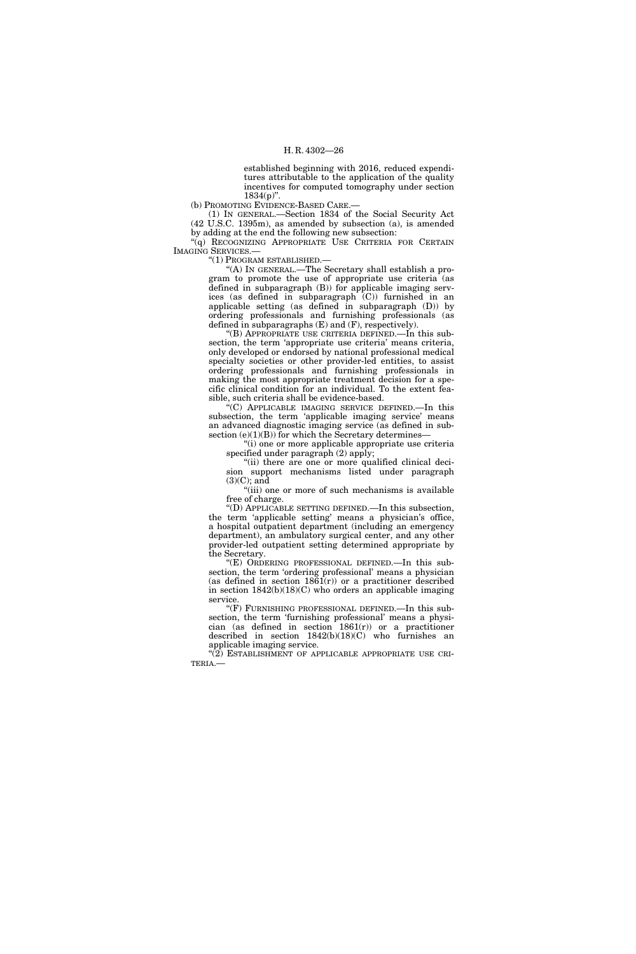established beginning with 2016, reduced expenditures attributable to the application of the quality incentives for computed tomography under section  $1834(p)$ ".

(b) PROMOTING EVIDENCE-BASED CARE.—

(1) IN GENERAL.—Section 1834 of the Social Security Act (42 U.S.C. 1395m), as amended by subsection (a), is amended by adding at the end the following new subsection:

"(q) RECOGNIZING APPROPRIATE USE CRITERIA FOR CERTAIN IMAGING SERVICES.—

''(1) PROGRAM ESTABLISHED.—

''(A) IN GENERAL.—The Secretary shall establish a program to promote the use of appropriate use criteria (as defined in subparagraph (B)) for applicable imaging services (as defined in subparagraph (C)) furnished in an applicable setting (as defined in subparagraph (D)) by ordering professionals and furnishing professionals (as defined in subparagraphs (E) and (F), respectively).

''(B) APPROPRIATE USE CRITERIA DEFINED.—In this subsection, the term 'appropriate use criteria' means criteria, only developed or endorsed by national professional medical specialty societies or other provider-led entities, to assist ordering professionals and furnishing professionals in making the most appropriate treatment decision for a specific clinical condition for an individual. To the extent feasible, such criteria shall be evidence-based.

''(C) APPLICABLE IMAGING SERVICE DEFINED.—In this subsection, the term 'applicable imaging service' means an advanced diagnostic imaging service (as defined in subsection  $(e)(1)(B)$  for which the Secretary determines-

''(i) one or more applicable appropriate use criteria specified under paragraph (2) apply;

"(ii) there are one or more qualified clinical decision support mechanisms listed under paragraph  $(3)(C)$ ; and

''(iii) one or more of such mechanisms is available free of charge.

''(D) APPLICABLE SETTING DEFINED.—In this subsection, the term 'applicable setting' means a physician's office, a hospital outpatient department (including an emergency department), an ambulatory surgical center, and any other provider-led outpatient setting determined appropriate by the Secretary.

''(E) ORDERING PROFESSIONAL DEFINED.—In this subsection, the term 'ordering professional' means a physician (as defined in section  $1861(r)$ ) or a practitioner described in section  $1842(b)(18)(C)$  who orders an applicable imaging service.

''(F) FURNISHING PROFESSIONAL DEFINED.—In this subsection, the term 'furnishing professional' means a physician (as defined in section  $1861(r)$ ) or a practitioner described in section 1842(b)(18)(C) who furnishes an applicable imaging service.

"(2) ESTABLISHMENT OF APPLICABLE APPROPRIATE USE CRI-TERIA.—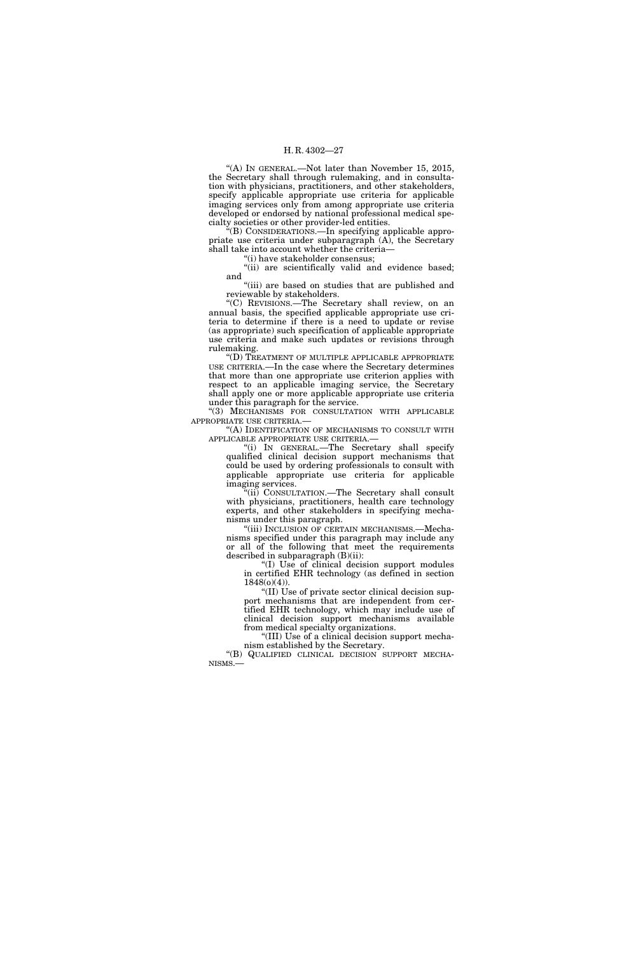"(A) In GENERAL.—Not later than November 15, 2015, the Secretary shall through rulemaking, and in consultation with physicians, practitioners, and other stakeholders, specify applicable appropriate use criteria for applicable imaging services only from among appropriate use criteria developed or endorsed by national professional medical specialty societies or other provider-led entities.

''(B) CONSIDERATIONS.—In specifying applicable appropriate use criteria under subparagraph (A), the Secretary shall take into account whether the criteria—

'(i) have stakeholder consensus;

"(ii) are scientifically valid and evidence based; and

"(iii) are based on studies that are published and reviewable by stakeholders.

''(C) REVISIONS.—The Secretary shall review, on an annual basis, the specified applicable appropriate use criteria to determine if there is a need to update or revise (as appropriate) such specification of applicable appropriate use criteria and make such updates or revisions through rulemaking.

''(D) TREATMENT OF MULTIPLE APPLICABLE APPROPRIATE USE CRITERIA.—In the case where the Secretary determines that more than one appropriate use criterion applies with respect to an applicable imaging service, the Secretary shall apply one or more applicable appropriate use criteria under this paragraph for the service.

''(3) MECHANISMS FOR CONSULTATION WITH APPLICABLE APPROPRIATE USE CRITERIA.—

"(A) IDENTIFICATION OF MECHANISMS TO CONSULT WITH APPLICABLE APPROPRIATE USE CRITERIA.—

''(i) IN GENERAL.—The Secretary shall specify qualified clinical decision support mechanisms that could be used by ordering professionals to consult with applicable appropriate use criteria for applicable imaging services.

(ii) CONSULTATION.—The Secretary shall consult with physicians, practitioners, health care technology experts, and other stakeholders in specifying mechanisms under this paragraph.

''(iii) INCLUSION OF CERTAIN MECHANISMS.—Mechanisms specified under this paragraph may include any or all of the following that meet the requirements described in subparagraph (B)(ii):

''(I) Use of clinical decision support modules in certified EHR technology (as defined in section  $1848(o)(4)$ ).

''(II) Use of private sector clinical decision support mechanisms that are independent from certified EHR technology, which may include use of clinical decision support mechanisms available from medical specialty organizations.

''(III) Use of a clinical decision support mechanism established by the Secretary.

''(B) QUALIFIED CLINICAL DECISION SUPPORT MECHA-NISMS.—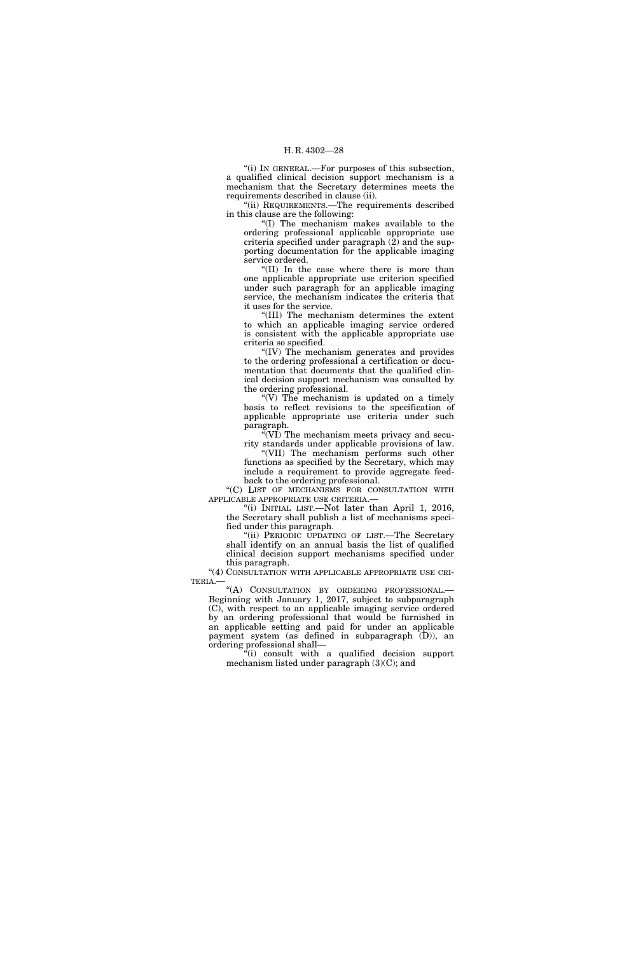''(i) IN GENERAL.—For purposes of this subsection, a qualified clinical decision support mechanism is a mechanism that the Secretary determines meets the requirements described in clause (ii).

''(ii) REQUIREMENTS.—The requirements described in this clause are the following:

''(I) The mechanism makes available to the ordering professional applicable appropriate use criteria specified under paragraph  $(2)$  and the supporting documentation for the applicable imaging service ordered.

''(II) In the case where there is more than one applicable appropriate use criterion specified under such paragraph for an applicable imaging service, the mechanism indicates the criteria that it uses for the service.

''(III) The mechanism determines the extent to which an applicable imaging service ordered is consistent with the applicable appropriate use criteria so specified.

''(IV) The mechanism generates and provides to the ordering professional a certification or documentation that documents that the qualified clinical decision support mechanism was consulted by the ordering professional.

 $'(V)$  The mechanism is updated on a timely basis to reflect revisions to the specification of applicable appropriate use criteria under such paragraph.

''(VI) The mechanism meets privacy and security standards under applicable provisions of law.

''(VII) The mechanism performs such other functions as specified by the Secretary, which may include a requirement to provide aggregate feedback to the ordering professional.

''(C) LIST OF MECHANISMS FOR CONSULTATION WITH APPLICABLE APPROPRIATE USE CRITERIA.—

''(i) INITIAL LIST.—Not later than April 1, 2016, the Secretary shall publish a list of mechanisms specified under this paragraph.

''(ii) PERIODIC UPDATING OF LIST.—The Secretary shall identify on an annual basis the list of qualified clinical decision support mechanisms specified under this paragraph.

"(4) CONSULTATION WITH APPLICABLE APPROPRIATE USE CRI-TERIA.—

''(A) CONSULTATION BY ORDERING PROFESSIONAL.— Beginning with January 1, 2017, subject to subparagraph (C), with respect to an applicable imaging service ordered by an ordering professional that would be furnished in an applicable setting and paid for under an applicable payment system (as defined in subparagraph (D)), an ordering professional shall—

''(i) consult with a qualified decision support mechanism listed under paragraph (3)(C); and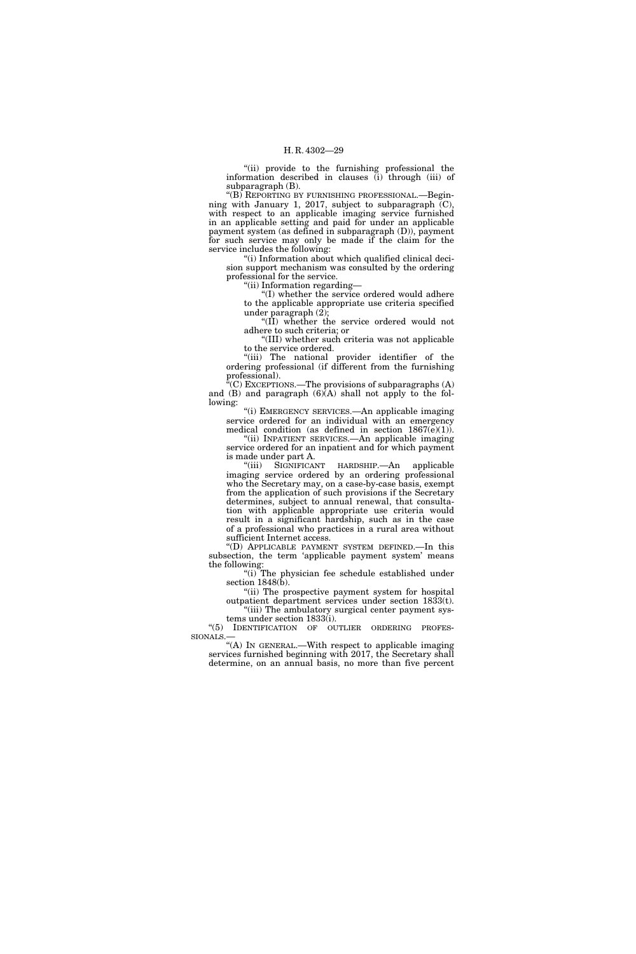''(ii) provide to the furnishing professional the information described in clauses (i) through (iii) of subparagraph (B).

''(B) REPORTING BY FURNISHING PROFESSIONAL.—Beginning with January 1, 2017, subject to subparagraph  $(C)$ , with respect to an applicable imaging service furnished in an applicable setting and paid for under an applicable payment system (as defined in subparagraph (D)), payment for such service may only be made if the claim for the service includes the following:

''(i) Information about which qualified clinical decision support mechanism was consulted by the ordering professional for the service.

''(ii) Information regarding—

''(I) whether the service ordered would adhere to the applicable appropriate use criteria specified under paragraph (2);

"(II) whether the service ordered would not adhere to such criteria; or

''(III) whether such criteria was not applicable to the service ordered.

''(iii) The national provider identifier of the ordering professional (if different from the furnishing professional).

 $\mathbf{F}^{\mathsf{r}}(C)$  Exceptions.—The provisions of subparagraphs  $(A)$ and (B) and paragraph (6)(A) shall not apply to the following:

''(i) EMERGENCY SERVICES.—An applicable imaging service ordered for an individual with an emergency medical condition (as defined in section  $1867(e)(1)$ ).

''(ii) INPATIENT SERVICES.—An applicable imaging service ordered for an inpatient and for which payment is made under part A.

''(iii) SIGNIFICANT HARDSHIP.—An applicable imaging service ordered by an ordering professional who the Secretary may, on a case-by-case basis, exempt from the application of such provisions if the Secretary determines, subject to annual renewal, that consultation with applicable appropriate use criteria would result in a significant hardship, such as in the case of a professional who practices in a rural area without sufficient Internet access.

''(D) APPLICABLE PAYMENT SYSTEM DEFINED.—In this subsection, the term 'applicable payment system' means the following:

"(i) The physician fee schedule established under section  $1848(b)$ .

"(ii) The prospective payment system for hospital outpatient department services under section 1833(t). ''(iii) The ambulatory surgical center payment sys-

tems under section 1833(i). ''(5) IDENTIFICATION OF OUTLIER ORDERING PROFES-

SIONALS.— ''(A) IN GENERAL.—With respect to applicable imaging

services furnished beginning with 2017, the Secretary shall determine, on an annual basis, no more than five percent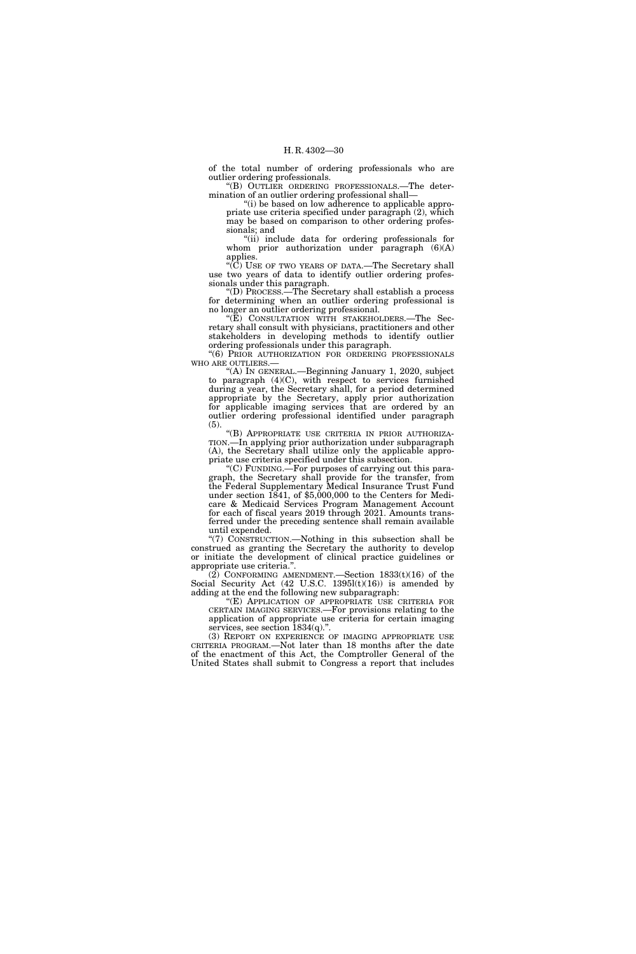of the total number of ordering professionals who are outlier ordering professionals.

''(B) OUTLIER ORDERING PROFESSIONALS.—The determination of an outlier ordering professional shall—

''(i) be based on low adherence to applicable appropriate use criteria specified under paragraph (2), which may be based on comparison to other ordering professionals; and

''(ii) include data for ordering professionals for whom prior authorization under paragraph  $(6)(A)$ applies.

''(C) USE OF TWO YEARS OF DATA.—The Secretary shall use two years of data to identify outlier ordering professionals under this paragraph.

''(D) PROCESS.—The Secretary shall establish a process for determining when an outlier ordering professional is no longer an outlier ordering professional.

''(E) CONSULTATION WITH STAKEHOLDERS.—The Secretary shall consult with physicians, practitioners and other stakeholders in developing methods to identify outlier ordering professionals under this paragraph.

''(6) PRIOR AUTHORIZATION FOR ORDERING PROFESSIONALS WHO ARE OUTLIERS.—

''(A) IN GENERAL.—Beginning January 1, 2020, subject to paragraph (4)(C), with respect to services furnished during a year, the Secretary shall, for a period determined appropriate by the Secretary, apply prior authorization for applicable imaging services that are ordered by an outlier ordering professional identified under paragraph (5).

''(B) APPROPRIATE USE CRITERIA IN PRIOR AUTHORIZA-TION.—In applying prior authorization under subparagraph (A), the Secretary shall utilize only the applicable appropriate use criteria specified under this subsection.

''(C) FUNDING.—For purposes of carrying out this paragraph, the Secretary shall provide for the transfer, from the Federal Supplementary Medical Insurance Trust Fund under section  $1841$ , of \$5,000,000 to the Centers for Medicare & Medicaid Services Program Management Account for each of fiscal years 2019 through 2021. Amounts transferred under the preceding sentence shall remain available until expended.

''(7) CONSTRUCTION.—Nothing in this subsection shall be construed as granting the Secretary the authority to develop or initiate the development of clinical practice guidelines or appropriate use criteria.''.

 $(2)$  CONFORMING AMENDMENT.—Section 1833 $(t)(16)$  of the Social Security Act  $(42 \text{ U.S.C. } 1395 \text{I(t)}(16))$  is amended by adding at the end the following new subparagraph:

"(E) APPLICATION OF APPROPRIATE USE CRITERIA FOR CERTAIN IMAGING SERVICES.—For provisions relating to the application of appropriate use criteria for certain imaging services, see section  $1834(q)$ .".

(3) REPORT ON EXPERIENCE OF IMAGING APPROPRIATE USE CRITERIA PROGRAM.—Not later than 18 months after the date of the enactment of this Act, the Comptroller General of the United States shall submit to Congress a report that includes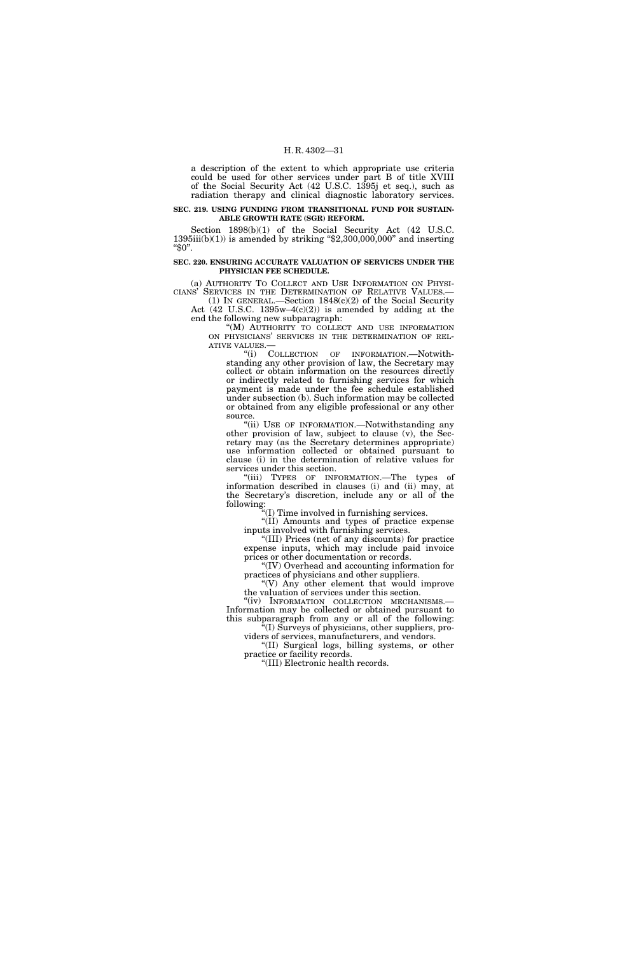a description of the extent to which appropriate use criteria could be used for other services under part B of title XVIII of the Social Security Act (42 U.S.C. 1395j et seq.), such as radiation therapy and clinical diagnostic laboratory services.

#### **SEC. 219. USING FUNDING FROM TRANSITIONAL FUND FOR SUSTAIN-ABLE GROWTH RATE (SGR) REFORM.**

Section 1898(b)(1) of the Social Security Act (42 U.S.C.  $1395iii(b)(1)$ ) is amended by striking "\$2,300,000,000" and inserting  $"\$0".$ 

#### **SEC. 220. ENSURING ACCURATE VALUATION OF SERVICES UNDER THE PHYSICIAN FEE SCHEDULE.**

(a) AUTHORITY TO COLLECT AND USE INFORMATION ON PHYSI-CIANS' SERVICES IN THE DETERMINATION OF RELATIVE VALUES.—

(1) IN GENERAL.—Section 1848(c)(2) of the Social Security Act  $(42 \text{ U.S.C. } 1395\text{w}-4(c)(2))$  is amended by adding at the end the following new subparagraph:

''(M) AUTHORITY TO COLLECT AND USE INFORMATION ON PHYSICIANS' SERVICES IN THE DETERMINATION OF REL-ATIVE VALUES.—

''(i) COLLECTION OF INFORMATION.—Notwithstanding any other provision of law, the Secretary may collect or obtain information on the resources directly or indirectly related to furnishing services for which payment is made under the fee schedule established under subsection (b). Such information may be collected or obtained from any eligible professional or any other source.

''(ii) USE OF INFORMATION.—Notwithstanding any other provision of law, subject to clause (v), the Secretary may (as the Secretary determines appropriate) use information collected or obtained pursuant to clause (i) in the determination of relative values for services under this section.

"(iii) TYPES OF INFORMATION.—The types of information described in clauses (i) and (ii) may, at the Secretary's discretion, include any or all of the following:

'(I) Time involved in furnishing services.

''(II) Amounts and types of practice expense inputs involved with furnishing services.

''(III) Prices (net of any discounts) for practice expense inputs, which may include paid invoice prices or other documentation or records.

''(IV) Overhead and accounting information for practices of physicians and other suppliers.

''(V) Any other element that would improve the valuation of services under this section.

"(iv) INFORMATION COLLECTION MECHANISMS.-Information may be collected or obtained pursuant to this subparagraph from any or all of the following:  $\mathcal{F}(I)$  Surveys of physicians, other suppliers, pro-

viders of services, manufacturers, and vendors.

''(II) Surgical logs, billing systems, or other practice or facility records.

''(III) Electronic health records.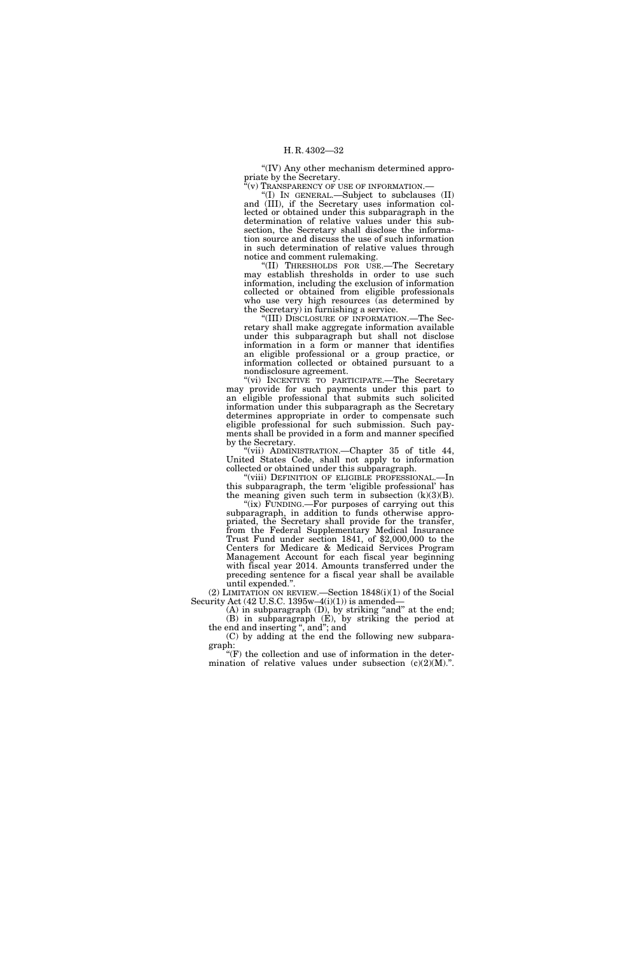''(IV) Any other mechanism determined appropriate by the Secretary.

 $\check{C}(v)$  Transparency of use of information.—

''(I) IN GENERAL.—Subject to subclauses (II) and (III), if the Secretary uses information collected or obtained under this subparagraph in the determination of relative values under this subsection, the Secretary shall disclose the information source and discuss the use of such information in such determination of relative values through notice and comment rulemaking.

''(II) THRESHOLDS FOR USE.—The Secretary may establish thresholds in order to use such information, including the exclusion of information collected or obtained from eligible professionals who use very high resources (as determined by the Secretary) in furnishing a service.

''(III) DISCLOSURE OF INFORMATION.—The Secretary shall make aggregate information available under this subparagraph but shall not disclose information in a form or manner that identifies an eligible professional or a group practice, or information collected or obtained pursuant to a nondisclosure agreement.

''(vi) INCENTIVE TO PARTICIPATE.—The Secretary may provide for such payments under this part to an eligible professional that submits such solicited information under this subparagraph as the Secretary determines appropriate in order to compensate such eligible professional for such submission. Such payments shall be provided in a form and manner specified by the Secretary.

"(vii) ADMINISTRATION.—Chapter 35 of title 44, United States Code, shall not apply to information collected or obtained under this subparagraph.

''(viii) DEFINITION OF ELIGIBLE PROFESSIONAL.—In this subparagraph, the term 'eligible professional' has the meaning given such term in subsection  $(k)(3)(B)$ .

"(ix) FUNDING.—For purposes of carrying out this subparagraph, in addition to funds otherwise appropriated, the Secretary shall provide for the transfer, from the Federal Supplementary Medical Insurance Trust Fund under section 1841, of \$2,000,000 to the Centers for Medicare & Medicaid Services Program Management Account for each fiscal year beginning with fiscal year 2014. Amounts transferred under the preceding sentence for a fiscal year shall be available until expended.''.

(2) LIMITATION ON REVIEW.—Section 1848(i)(1) of the Social Security Act  $(42 \text{ U.S.C. } 1395\text{w}-4\text{(i)}(1))$  is amended-

(A) in subparagraph (D), by striking "and" at the end; (B) in subparagraph (E), by striking the period at the end and inserting ", and"; and

(C) by adding at the end the following new subparagraph:

 $\mathrm{``(F)}$  the collection and use of information in the determination of relative values under subsection  $(c)(2)(M)$ .".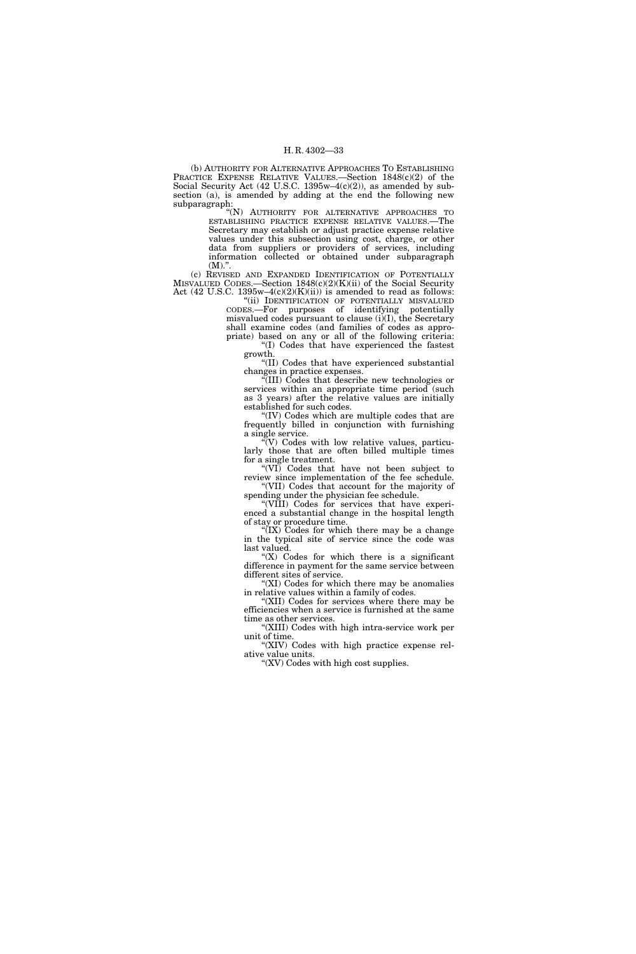(b) AUTHORITY FOR ALTERNATIVE APPROACHES TO ESTABLISHING PRACTICE EXPENSE RELATIVE VALUES.—Section 1848(c)(2) of the Social Security Act (42 U.S.C. 1395w–4(c)(2)), as amended by subsection (a), is amended by adding at the end the following new subparagraph:

''(N) AUTHORITY FOR ALTERNATIVE APPROACHES TO ESTABLISHING PRACTICE EXPENSE RELATIVE VALUES.—The Secretary may establish or adjust practice expense relative values under this subsection using cost, charge, or other data from suppliers or providers of services, including information collected or obtained under subparagraph  $(M)$ .".

(c) REVISED AND EXPANDED IDENTIFICATION OF POTENTIALLY MISVALUED CODES.—Section 1848(c)(2)(K)(ii) of the Social Security Act (42 U.S.C.  $1395w-4(c)(2)(K)(ii)$ ) is amended to read as follows:

"(ii) IDENTIFICATION OF POTENTIALLY MISVALUED CODES.—For purposes of identifying potentially misvalued codes pursuant to clause (i)(I), the Secretary shall examine codes (and families of codes as appropriate) based on any or all of the following criteria:

''(I) Codes that have experienced the fastest growth.

''(II) Codes that have experienced substantial changes in practice expenses.

''(III) Codes that describe new technologies or services within an appropriate time period (such as 3 years) after the relative values are initially established for such codes.

''(IV) Codes which are multiple codes that are frequently billed in conjunction with furnishing a single service.

 $\sqrt[\mu]{V}$  Codes with low relative values, particularly those that are often billed multiple times for a single treatment.

''(VI) Codes that have not been subject to review since implementation of the fee schedule. ''(VII) Codes that account for the majority of

spending under the physician fee schedule. "(VIII) Codes for services that have experienced a substantial change in the hospital length

of stay or procedure time. " $(IX)$  Codes for which there may be a change in the typical site of service since the code was

last valued. " $(X)$  Codes for which there is a significant difference in payment for the same service between

different sites of service. ''(XI) Codes for which there may be anomalies

in relative values within a family of codes. ''(XII) Codes for services where there may be

efficiencies when a service is furnished at the same time as other services.

''(XIII) Codes with high intra-service work per unit of time.

''(XIV) Codes with high practice expense relative value units.

''(XV) Codes with high cost supplies.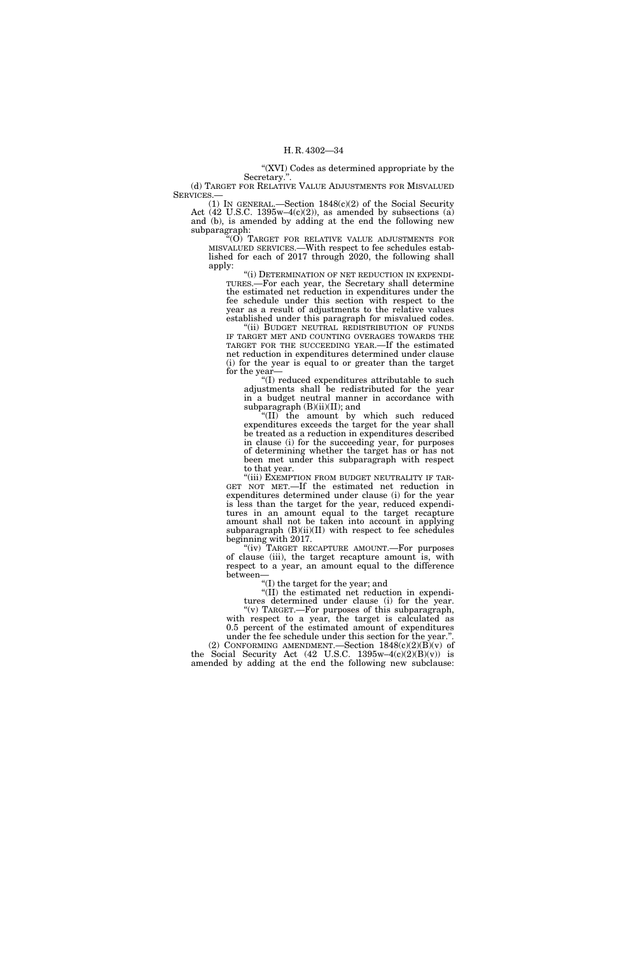"(XVI) Codes as determined appropriate by the

Secretary.''. (d) TARGET FOR RELATIVE VALUE ADJUSTMENTS FOR MISVALUED SERVICES.

(1) IN GENERAL.—Section 1848(c)(2) of the Social Security Act  $(42 \text{ U.S.C. } 1395\text{w}-4(c)(2))$ , as amended by subsections  $(a)$ and (b), is amended by adding at the end the following new subparagraph:

''(O) TARGET FOR RELATIVE VALUE ADJUSTMENTS FOR MISVALUED SERVICES.—With respect to fee schedules established for each of 2017 through 2020, the following shall apply:

''(i) DETERMINATION OF NET REDUCTION IN EXPENDI-TURES.—For each year, the Secretary shall determine the estimated net reduction in expenditures under the fee schedule under this section with respect to the year as a result of adjustments to the relative values established under this paragraph for misvalued codes.

''(ii) BUDGET NEUTRAL REDISTRIBUTION OF FUNDS IF TARGET MET AND COUNTING OVERAGES TOWARDS THE TARGET FOR THE SUCCEEDING YEAR.—If the estimated net reduction in expenditures determined under clause (i) for the year is equal to or greater than the target for the year—

''(I) reduced expenditures attributable to such adjustments shall be redistributed for the year in a budget neutral manner in accordance with subparagraph  $(B)(ii)(II)$ ; and

''(II) the amount by which such reduced expenditures exceeds the target for the year shall be treated as a reduction in expenditures described in clause (i) for the succeeding year, for purposes of determining whether the target has or has not been met under this subparagraph with respect to that year.<br>"(iii) Exemption from budget neutrality if tar-

GET NOT MET.—If the estimated net reduction in expenditures determined under clause (i) for the year is less than the target for the year, reduced expenditures in an amount equal to the target recapture amount shall not be taken into account in applying subparagraph (B)(ii)(II) with respect to fee schedules beginning with 2017.

"(iv) TARGET RECAPTURE AMOUNT.—For purposes of clause (iii), the target recapture amount is, with respect to a year, an amount equal to the difference between—

''(I) the target for the year; and

''(II) the estimated net reduction in expenditures determined under clause (i) for the year. ''(v) TARGET.—For purposes of this subparagraph, with respect to a year, the target is calculated as

0.5 percent of the estimated amount of expenditures under the fee schedule under this section for the year.''. (2) CONFORMING AMENDMENT.—Section  $1848(c)(2)(B)(v)$  of the Social Security Act  $(42 \text{ U.S.C. } 1395 \text{w} - 4(c)(2)(\text{B})(\text{v}))$  is

amended by adding at the end the following new subclause: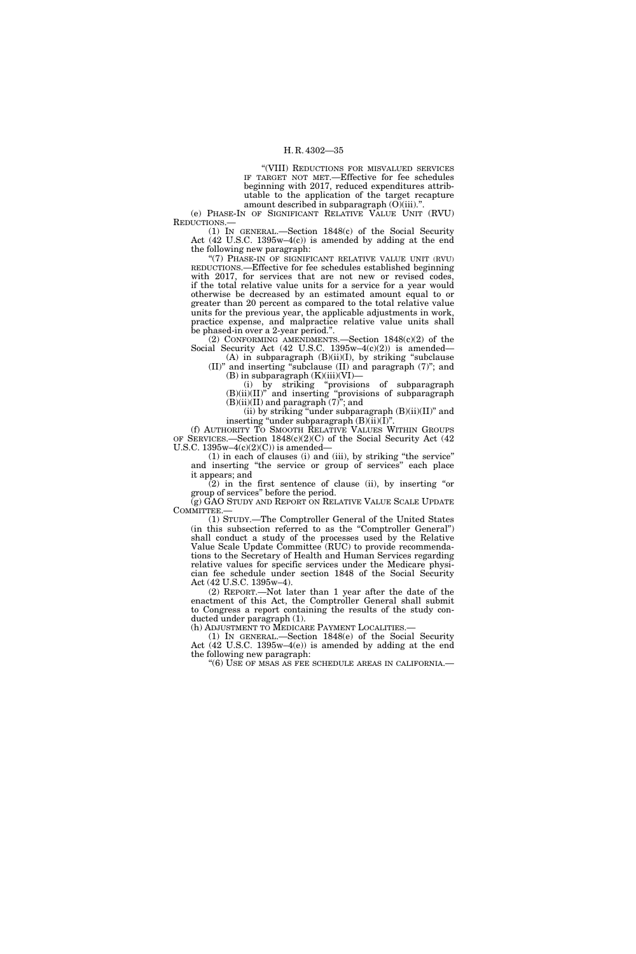''(VIII) REDUCTIONS FOR MISVALUED SERVICES IF TARGET NOT MET.—Effective for fee schedules beginning with 2017, reduced expenditures attributable to the application of the target recapture amount described in subparagraph  $(O)(iii)$ .".

(e) PHASE-IN OF SIGNIFICANT RELATIVE VALUE UNIT (RVU) REDUCTIONS.—

(1) IN GENERAL.—Section 1848(c) of the Social Security Act (42 U.S.C. 1395w–4(c)) is amended by adding at the end the following new paragraph:

"(7) PHASE-IN OF SIGNIFICANT RELATIVE VALUE UNIT (RVU) REDUCTIONS.—Effective for fee schedules established beginning with 2017, for services that are not new or revised codes, if the total relative value units for a service for a year would otherwise be decreased by an estimated amount equal to or greater than 20 percent as compared to the total relative value units for the previous year, the applicable adjustments in work, practice expense, and malpractice relative value units shall be phased-in over a 2-year period.''.

(2) CONFORMING AMENDMENTS.—Section 1848(c)(2) of the Social Security Act  $(42 \text{ U.S.C. } 1395\text{w}-4(c)(2))$  is amended—

(A) in subparagraph  $(B)(ii)(I)$ , by striking "subclause (II)'' and inserting ''subclause (II) and paragraph (7)''; and  $(B)$  in subparagraph  $(K)(iii)(VI)$ —

(i) by striking ''provisions of subparagraph (B)(ii)(II)'' and inserting ''provisions of subparagraph  $(B)(ii)(II)$  and paragraph  $(7)$ "; and

(ii) by striking ''under subparagraph (B)(ii)(II)'' and inserting "under subparagraph  $(B)(ii)(\overline{I})$ ".

(f) AUTHORITY TO SMOOTH RELATIVE VALUES WITHIN GROUPS OF SERVICES.—Section 1848(c)(2)(C) of the Social Security Act (42 U.S.C.  $1395w-4(c)(2)(C)$  is amended-

(1) in each of clauses (i) and (iii), by striking ''the service'' and inserting ''the service or group of services'' each place it appears; and

(2) in the first sentence of clause (ii), by inserting ''or group of services'' before the period.

(g) GAO STUDY AND REPORT ON RELATIVE VALUE SCALE UPDATE COMMITTEE.

(1) STUDY.—The Comptroller General of the United States (in this subsection referred to as the ''Comptroller General'') shall conduct a study of the processes used by the Relative Value Scale Update Committee (RUC) to provide recommendations to the Secretary of Health and Human Services regarding relative values for specific services under the Medicare physician fee schedule under section 1848 of the Social Security Act (42 U.S.C. 1395w–4).

(2) REPORT.—Not later than 1 year after the date of the enactment of this Act, the Comptroller General shall submit to Congress a report containing the results of the study conducted under paragraph (1).

(h) ADJUSTMENT TO MEDICARE PAYMENT LOCALITIES.—

(1) IN GENERAL.—Section 1848(e) of the Social Security Act (42 U.S.C. 1395w–4(e)) is amended by adding at the end the following new paragraph:

''(6) USE OF MSAS AS FEE SCHEDULE AREAS IN CALIFORNIA.—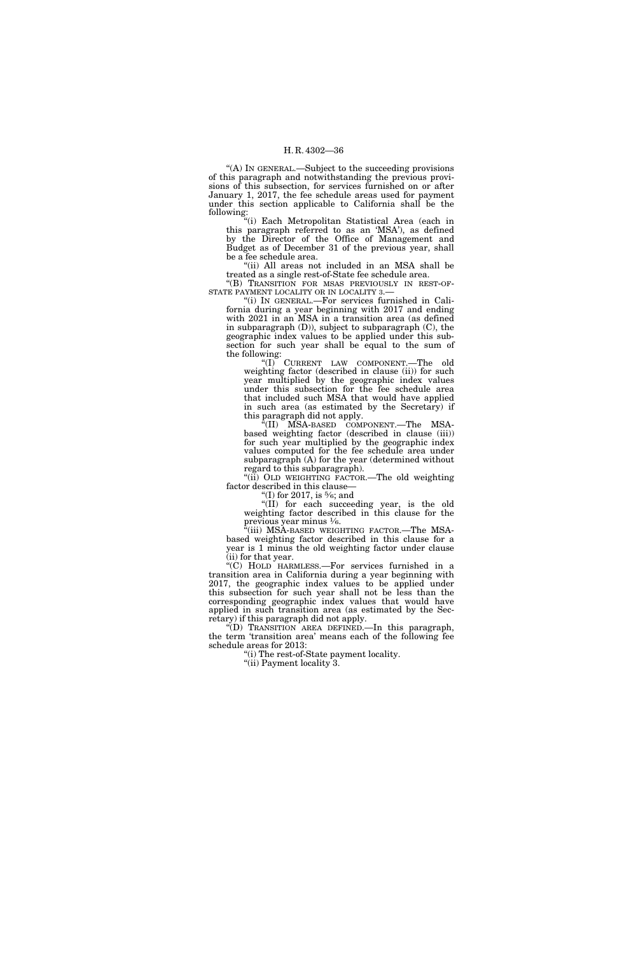''(A) IN GENERAL.—Subject to the succeeding provisions of this paragraph and notwithstanding the previous provisions of this subsection, for services furnished on or after January 1, 2017, the fee schedule areas used for payment under this section applicable to California shall be the following:

''(i) Each Metropolitan Statistical Area (each in this paragraph referred to as an 'MSA'), as defined by the Director of the Office of Management and Budget as of December 31 of the previous year, shall be a fee schedule area.

''(ii) All areas not included in an MSA shall be treated as a single rest-of-State fee schedule area.

''(B) TRANSITION FOR MSAS PREVIOUSLY IN REST-OF-STATE PAYMENT LOCALITY OR IN LOCALITY 3.—

''(i) IN GENERAL.—For services furnished in California during a year beginning with 2017 and ending with 2021 in an MSA in a transition area (as defined in subparagraph (D)), subject to subparagraph (C), the geographic index values to be applied under this subsection for such year shall be equal to the sum of the following:

''(I) CURRENT LAW COMPONENT.—The old weighting factor (described in clause (ii)) for such year multiplied by the geographic index values under this subsection for the fee schedule area that included such MSA that would have applied in such area (as estimated by the Secretary) if this paragraph did not apply.

"(II) MSA-BASED COMPONENT.—The MSAbased weighting factor (described in clause (iii)) for such year multiplied by the geographic index values computed for the fee schedule area under subparagraph (A) for the year (determined without regard to this subparagraph).

"(ii) OLD WEIGHTING FACTOR.—The old weighting factor described in this clause—

"(I) for 2017, is  $\frac{5}{6}$ ; and

''(II) for each succeeding year, is the old weighting factor described in this clause for the previous year minus  $\frac{1}{6}$ .

'(iii) MSA-BASED WEIGHTING FACTOR.—The MSAbased weighting factor described in this clause for a year is 1 minus the old weighting factor under clause  $(iii)$  for that year.

 $\cdot$ <sup>"</sup>(C) HOLD HARMLESS.—For services furnished in a transition area in California during a year beginning with 2017, the geographic index values to be applied under this subsection for such year shall not be less than the corresponding geographic index values that would have applied in such transition area (as estimated by the Secretary) if this paragraph did not apply.

''(D) TRANSITION AREA DEFINED.—In this paragraph, the term 'transition area' means each of the following fee schedule areas for 2013:

''(i) The rest-of-State payment locality.

"(ii) Payment locality 3.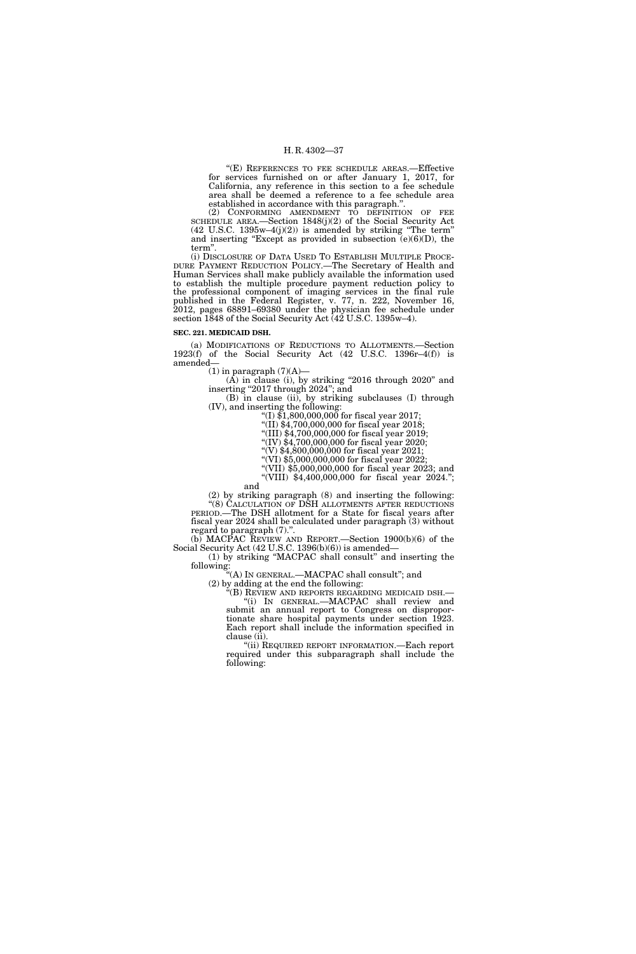''(E) REFERENCES TO FEE SCHEDULE AREAS.—Effective for services furnished on or after January 1, 2017, for California, any reference in this section to a fee schedule area shall be deemed a reference to a fee schedule area established in accordance with this paragraph.''.

(2) CONFORMING AMENDMENT TO DEFINITION OF FEE SCHEDULE AREA.—Section 1848(j)(2) of the Social Security Act  $(42 \text{ U.S.C. } 1395\text{w}-4(j)(2))$  is amended by striking "The term" and inserting "Except as provided in subsection  $(e)(6)(D)$ , the term''.

(i) DISCLOSURE OF DATA USED TO ESTABLISH MULTIPLE PROCE-DURE PAYMENT REDUCTION POLICY.—The Secretary of Health and Human Services shall make publicly available the information used to establish the multiple procedure payment reduction policy to the professional component of imaging services in the final rule published in the Federal Register, v. 77, n. 222, November 16, 2012, pages 68891–69380 under the physician fee schedule under section 1848 of the Social Security Act (42 U.S.C. 1395w-4).

#### **SEC. 221. MEDICAID DSH.**

(a) MODIFICATIONS OF REDUCTIONS TO ALLOTMENTS.—Section  $1923(f)$  of the Social Security Act  $(42 \text{ U.S.C. } 1396r-4(f))$  is amended—

 $(1)$  in paragraph  $(7)(A)$ —

(A) in clause (i), by striking ''2016 through 2020'' and inserting "2017 through 2024"; and

(B) in clause (ii), by striking subclauses (I) through  $(IV)$ , and inserting the following:

"(I)  $$1,800,000,000$  for fiscal year 2017;

 $''(II)$  \$4,700,000,000 for fiscal year 2018;

"(III) \$4,700,000,000 for fiscal year 2019;

"(IV) \$4,700,000,000 for fiscal year 2020;  $'(V)$  \$4,800,000,000 for fiscal year 2021;

 $``(V1)$  \$5,000,000,000 for fiscal year 2022;

''(VII) \$5,000,000,000 for fiscal year 2023; and

''(VIII) \$4,400,000,000 for fiscal year 2024.''; and

(2) by striking paragraph (8) and inserting the following: ''(8) CALCULATION OF DSH ALLOTMENTS AFTER REDUCTIONS PERIOD.—The DSH allotment for a State for fiscal years after fiscal year 2024 shall be calculated under paragraph (3) without

regard to paragraph (7).''. (b) MACPAC REVIEW AND REPORT.—Section 1900(b)(6) of the Social Security Act (42 U.S.C. 1396(b)(6)) is amended—

(1) by striking ''MACPAC shall consult'' and inserting the following:

''(A) IN GENERAL.—MACPAC shall consult''; and

(2) by adding at the end the following:

''(B) REVIEW AND REPORTS REGARDING MEDICAID DSH.— ''(i) IN GENERAL.—MACPAC shall review and submit an annual report to Congress on disproportionate share hospital payments under section 1923. Each report shall include the information specified in clause (ii).

''(ii) REQUIRED REPORT INFORMATION.—Each report required under this subparagraph shall include the following: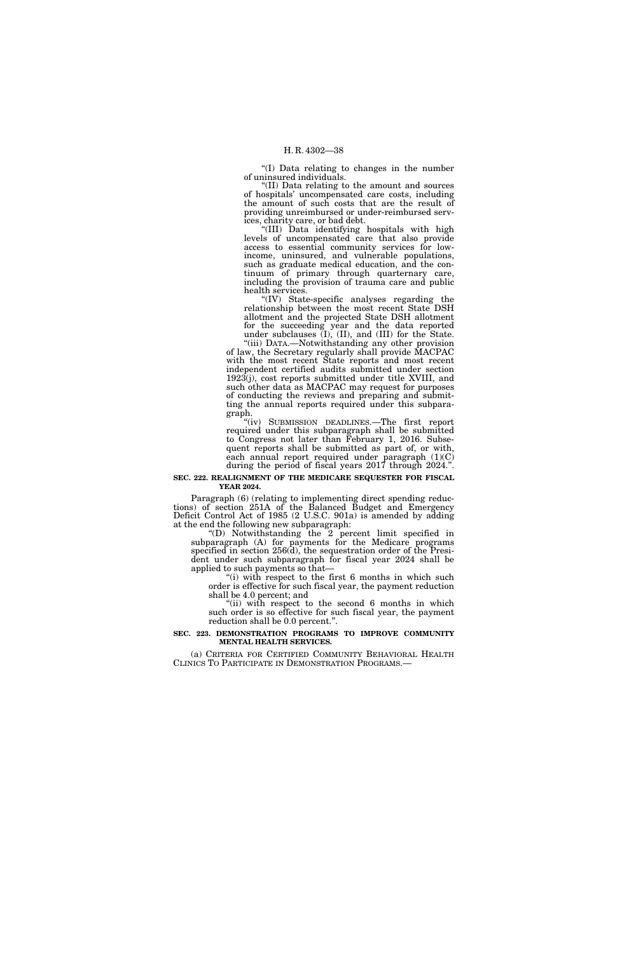''(I) Data relating to changes in the number of uninsured individuals.

''(II) Data relating to the amount and sources of hospitals' uncompensated care costs, including the amount of such costs that are the result of providing unreimbursed or under-reimbursed services, charity care, or bad debt.

''(III) Data identifying hospitals with high levels of uncompensated care that also provide access to essential community services for lowincome, uninsured, and vulnerable populations, such as graduate medical education, and the continuum of primary through quarternary care, including the provision of trauma care and public health services.

''(IV) State-specific analyses regarding the relationship between the most recent State DSH allotment and the projected State DSH allotment for the succeeding year and the data reported under subclauses (I), (II), and (III) for the State.

''(iii) DATA.—Notwithstanding any other provision of law, the Secretary regularly shall provide MACPAC with the most recent State reports and most recent independent certified audits submitted under section  $1923(j)$ , cost reports submitted under title XVIII, and such other data as MACPAC may request for purposes of conducting the reviews and preparing and submitting the annual reports required under this subparagraph.

''(iv) SUBMISSION DEADLINES.—The first report required under this subparagraph shall be submitted to Congress not later than February 1, 2016. Subsequent reports shall be submitted as part of, or with, each annual report required under paragraph (1)(C) during the period of fiscal years 2017 through 2024.''.

#### **SEC. 222. REALIGNMENT OF THE MEDICARE SEQUESTER FOR FISCAL YEAR 2024.**

Paragraph (6) (relating to implementing direct spending reductions) of section 251A of the Balanced Budget and Emergency Deficit Control Act of 1985 (2 U.S.C. 901a) is amended by adding at the end the following new subparagraph:

''(D) Notwithstanding the 2 percent limit specified in subparagraph (A) for payments for the Medicare programs specified in section 256(d), the sequestration order of the President under such subparagraph for fiscal year 2024 shall be applied to such payments so that—

"(i) with respect to the first 6 months in which such order is effective for such fiscal year, the payment reduction shall be 4.0 percent; and

"(ii) with respect to the second 6 months in which such order is so effective for such fiscal year, the payment reduction shall be 0.0 percent.''.

#### **SEC. 223. DEMONSTRATION PROGRAMS TO IMPROVE COMMUNITY MENTAL HEALTH SERVICES.**

(a) CRITERIA FOR CERTIFIED COMMUNITY BEHAVIORAL HEALTH CLINICS TO PARTICIPATE IN DEMONSTRATION PROGRAMS.—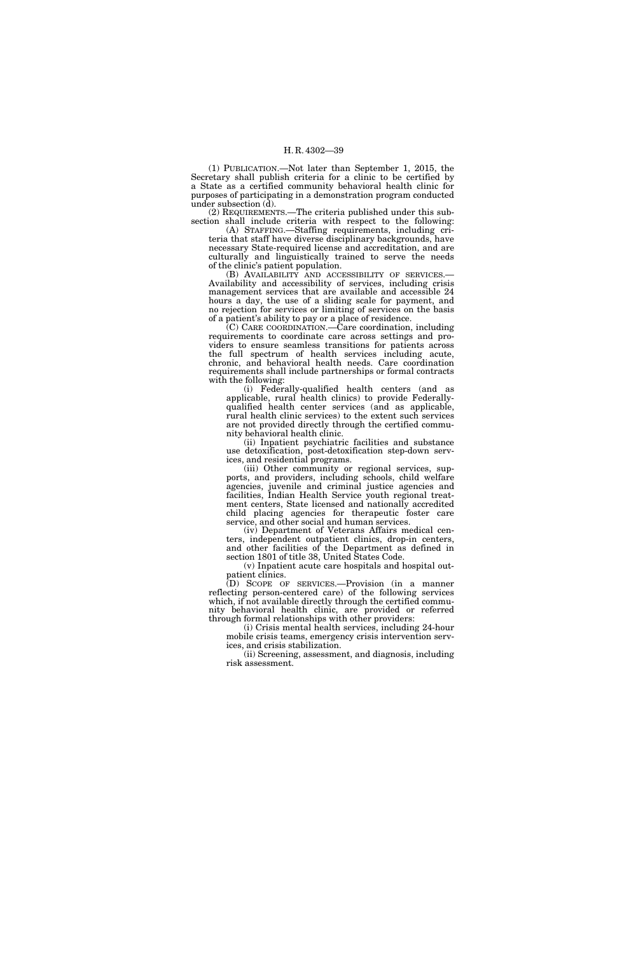(1) PUBLICATION.—Not later than September 1, 2015, the Secretary shall publish criteria for a clinic to be certified by a State as a certified community behavioral health clinic for purposes of participating in a demonstration program conducted under subsection (d).

(2) REQUIREMENTS.—The criteria published under this subsection shall include criteria with respect to the following: (A) STAFFING.—Staffing requirements, including cri-

teria that staff have diverse disciplinary backgrounds, have necessary State-required license and accreditation, and are culturally and linguistically trained to serve the needs of the clinic's patient population.

(B) AVAILABILITY AND ACCESSIBILITY OF SERVICES.— Availability and accessibility of services, including crisis management services that are available and accessible 24 hours a day, the use of a sliding scale for payment, and no rejection for services or limiting of services on the basis of a patient's ability to pay or a place of residence.

(C) CARE COORDINATION.—Care coordination, including requirements to coordinate care across settings and providers to ensure seamless transitions for patients across the full spectrum of health services including acute, chronic, and behavioral health needs. Care coordination requirements shall include partnerships or formal contracts with the following:

(i) Federally-qualified health centers (and as applicable, rural health clinics) to provide Federallyqualified health center services (and as applicable, rural health clinic services) to the extent such services are not provided directly through the certified community behavioral health clinic.

(ii) Inpatient psychiatric facilities and substance use detoxification, post-detoxification step-down services, and residential programs.

(iii) Other community or regional services, supports, and providers, including schools, child welfare agencies, juvenile and criminal justice agencies and facilities, Indian Health Service youth regional treatment centers, State licensed and nationally accredited child placing agencies for therapeutic foster care service, and other social and human services.

(iv) Department of Veterans Affairs medical centers, independent outpatient clinics, drop-in centers, and other facilities of the Department as defined in section 1801 of title 38, United States Code.

(v) Inpatient acute care hospitals and hospital outpatient clinics.

(D) SCOPE OF SERVICES.—Provision (in a manner reflecting person-centered care) of the following services which, if not available directly through the certified community behavioral health clinic, are provided or referred through formal relationships with other providers:

(i) Crisis mental health services, including 24-hour mobile crisis teams, emergency crisis intervention services, and crisis stabilization.

(ii) Screening, assessment, and diagnosis, including risk assessment.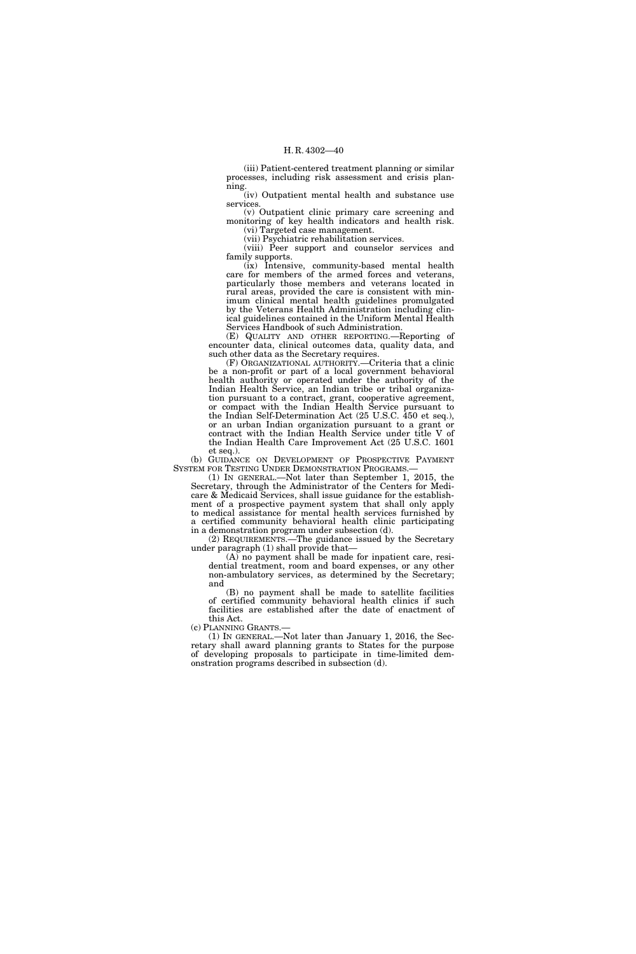(iii) Patient-centered treatment planning or similar processes, including risk assessment and crisis planning.

(iv) Outpatient mental health and substance use services.

(v) Outpatient clinic primary care screening and monitoring of key health indicators and health risk. (vi) Targeted case management.

(vii) Psychiatric rehabilitation services.

(viii) Peer support and counselor services and family supports.

(ix) Intensive, community-based mental health care for members of the armed forces and veterans, particularly those members and veterans located in rural areas, provided the care is consistent with minimum clinical mental health guidelines promulgated by the Veterans Health Administration including clinical guidelines contained in the Uniform Mental Health Services Handbook of such Administration.

(E) QUALITY AND OTHER REPORTING.—Reporting of encounter data, clinical outcomes data, quality data, and such other data as the Secretary requires.

(F) ORGANIZATIONAL AUTHORITY.—Criteria that a clinic be a non-profit or part of a local government behavioral health authority or operated under the authority of the Indian Health Service, an Indian tribe or tribal organization pursuant to a contract, grant, cooperative agreement, or compact with the Indian Health Service pursuant to the Indian Self-Determination Act (25 U.S.C. 450 et seq.), or an urban Indian organization pursuant to a grant or contract with the Indian Health Service under title V of the Indian Health Care Improvement Act (25 U.S.C. 1601 et seq.).

(b) GUIDANCE ON DEVELOPMENT OF PROSPECTIVE PAYMENT SYSTEM FOR TESTING UNDER DEMONSTRATION PROGRAMS.—

 $(1)$  In GENERAL.—Not later than September 1, 2015, the Secretary, through the Administrator of the Centers for Medicare & Medicaid Services, shall issue guidance for the establishment of a prospective payment system that shall only apply to medical assistance for mental health services furnished by a certified community behavioral health clinic participating in a demonstration program under subsection (d).

(2) REQUIREMENTS.—The guidance issued by the Secretary under paragraph (1) shall provide that—

(A) no payment shall be made for inpatient care, residential treatment, room and board expenses, or any other non-ambulatory services, as determined by the Secretary; and

(B) no payment shall be made to satellite facilities of certified community behavioral health clinics if such facilities are established after the date of enactment of this Act.

(c) PLANNING GRANTS.—

(1) IN GENERAL.—Not later than January 1, 2016, the Secretary shall award planning grants to States for the purpose of developing proposals to participate in time-limited demonstration programs described in subsection (d).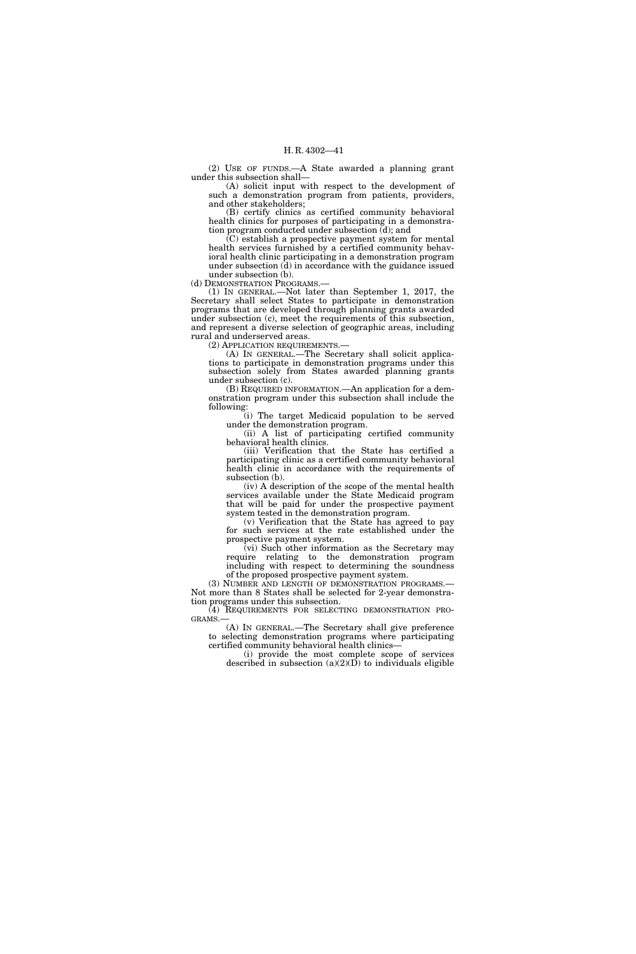(2) USE OF FUNDS.—A State awarded a planning grant under this subsection shall—

(A) solicit input with respect to the development of such a demonstration program from patients, providers, and other stakeholders;

(B) certify clinics as certified community behavioral health clinics for purposes of participating in a demonstration program conducted under subsection (d); and

(C) establish a prospective payment system for mental health services furnished by a certified community behavioral health clinic participating in a demonstration program under subsection (d) in accordance with the guidance issued under subsection (b).

(d) DEMONSTRATION PROGRAMS.—

(1) IN GENERAL.—Not later than September 1, 2017, the Secretary shall select States to participate in demonstration programs that are developed through planning grants awarded under subsection (c), meet the requirements of this subsection, and represent a diverse selection of geographic areas, including rural and underserved areas.

(2) APPLICATION REQUIREMENTS.—

(A) IN GENERAL.—The Secretary shall solicit applications to participate in demonstration programs under this subsection solely from States awarded planning grants under subsection (c).

(B) REQUIRED INFORMATION.—An application for a demonstration program under this subsection shall include the following:

(i) The target Medicaid population to be served under the demonstration program.

(ii) A list of participating certified community behavioral health clinics.

(iii) Verification that the State has certified a participating clinic as a certified community behavioral health clinic in accordance with the requirements of subsection (b).

(iv) A description of the scope of the mental health services available under the State Medicaid program that will be paid for under the prospective payment system tested in the demonstration program.

(v) Verification that the State has agreed to pay for such services at the rate established under the prospective payment system.

(vi) Such other information as the Secretary may require relating to the demonstration program including with respect to determining the soundness

of the proposed prospective payment system.<br>(3) NUMBER AND LENGTH OF DEMONSTRATION PROGRAMS.— Not more than 8 States shall be selected for 2-year demonstration programs under this subsection.

 $\left(\begin{matrix} 4 \end{matrix}\right)$  REQUIREMENTS FOR SELECTING DEMONSTRATION PROGRAMS.—

(A) IN GENERAL.—The Secretary shall give preference to selecting demonstration programs where participating certified community behavioral health clinics—

(i) provide the most complete scope of services described in subsection  $(a)(2)(D)$  to individuals eligible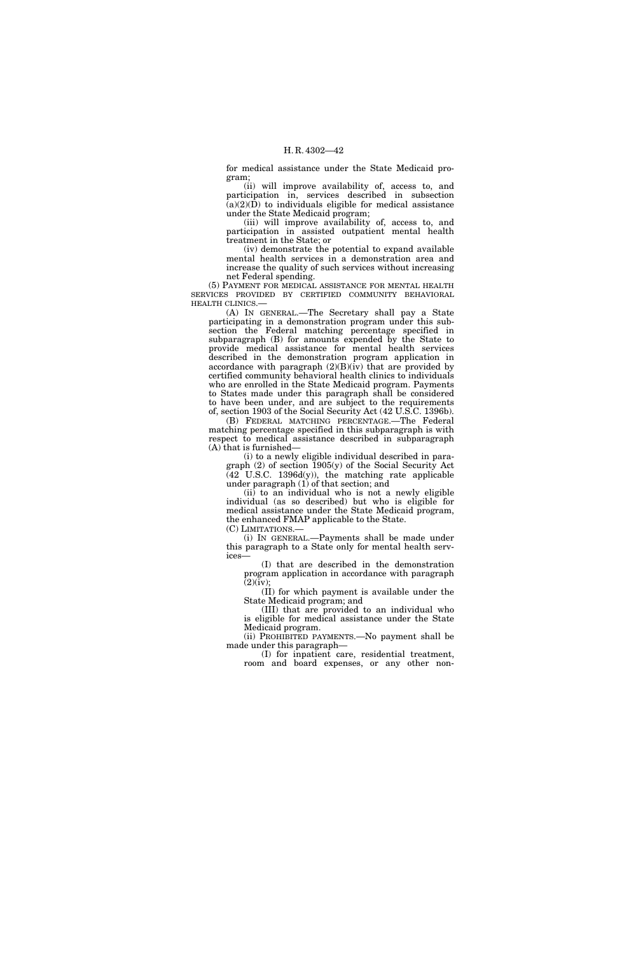for medical assistance under the State Medicaid program;

(ii) will improve availability of, access to, and participation in, services described in subsection  $(a)(2)(\hat{D})$  to individuals eligible for medical assistance under the State Medicaid program;

(iii) will improve availability of, access to, and participation in assisted outpatient mental health treatment in the State; or

(iv) demonstrate the potential to expand available mental health services in a demonstration area and increase the quality of such services without increasing net Federal spending.

(5) PAYMENT FOR MEDICAL ASSISTANCE FOR MENTAL HEALTH SERVICES PROVIDED BY CERTIFIED COMMUNITY BEHAVIORAL HEALTH CLINICS.—

(A) IN GENERAL.—The Secretary shall pay a State participating in a demonstration program under this subsection the Federal matching percentage specified in subparagraph (B) for amounts expended by the State to provide medical assistance for mental health services described in the demonstration program application in accordance with paragraph  $(2)(B)(iv)$  that are provided by certified community behavioral health clinics to individuals who are enrolled in the State Medicaid program. Payments to States made under this paragraph shall be considered to have been under, and are subject to the requirements of, section 1903 of the Social Security Act (42 U.S.C. 1396b).

(B) FEDERAL MATCHING PERCENTAGE.—The Federal matching percentage specified in this subparagraph is with respect to medical assistance described in subparagraph (A) that is furnished—

(i) to a newly eligible individual described in paragraph  $(2)$  of section  $1905(y)$  of the Social Security Act (42 U.S.C. 1396d(y)), the matching rate applicable under paragraph (1) of that section; and

 $(ii)$  to an individual who is not a newly eligible individual (as so described) but who is eligible for medical assistance under the State Medicaid program, the enhanced FMAP applicable to the State.

(C) LIMITATIONS.—

(i) IN GENERAL.—Payments shall be made under this paragraph to a State only for mental health services—

(I) that are described in the demonstration program application in accordance with paragraph  $(2)(iv);$ 

(II) for which payment is available under the State Medicaid program; and

(III) that are provided to an individual who is eligible for medical assistance under the State Medicaid program.

(ii) PROHIBITED PAYMENTS.—No payment shall be made under this paragraph—

(I) for inpatient care, residential treatment, room and board expenses, or any other non-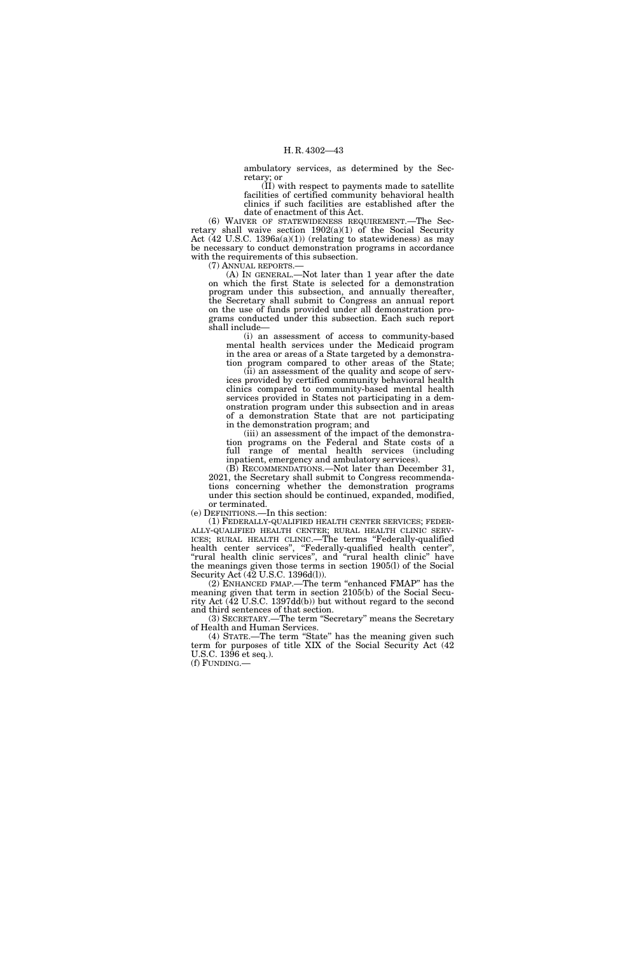ambulatory services, as determined by the Secretary; or

(II) with respect to payments made to satellite facilities of certified community behavioral health clinics if such facilities are established after the date of enactment of this Act.

(6) WAIVER OF STATEWIDENESS REQUIREMENT.—The Secretary shall waive section  $1902(a)(1)$  of the Social Security Act  $(42 \text{ U.S.C. } 1396a(a)(1))$  (relating to statewideness) as may be necessary to conduct demonstration programs in accordance with the requirements of this subsection.

(7) ANNUAL REPORTS.—

(A) IN GENERAL.—Not later than 1 year after the date on which the first State is selected for a demonstration program under this subsection, and annually thereafter, the Secretary shall submit to Congress an annual report on the use of funds provided under all demonstration programs conducted under this subsection. Each such report shall include—

(i) an assessment of access to community-based mental health services under the Medicaid program in the area or areas of a State targeted by a demonstration program compared to other areas of the State;

(ii) an assessment of the quality and scope of services provided by certified community behavioral health clinics compared to community-based mental health services provided in States not participating in a demonstration program under this subsection and in areas of a demonstration State that are not participating in the demonstration program; and

(iii) an assessment of the impact of the demonstration programs on the Federal and State costs of a full range of mental health services (including inpatient, emergency and ambulatory services).

(B) RECOMMENDATIONS.—Not later than December 31, 2021, the Secretary shall submit to Congress recommendations concerning whether the demonstration programs under this section should be continued, expanded, modified, or terminated.

(e) DEFINITIONS.—In this section:

(1) FEDERALLY-QUALIFIED HEALTH CENTER SERVICES; FEDER-ALLY-QUALIFIED HEALTH CENTER; RURAL HEALTH CLINIC SERV-ICES; RURAL HEALTH CLINIC.—The terms ''Federally-qualified health center services'', ''Federally-qualified health center'', ''rural health clinic services'', and ''rural health clinic'' have the meanings given those terms in section 1905(l) of the Social Security Act (42 U.S.C. 1396d(l)).

(2) ENHANCED FMAP.—The term ''enhanced FMAP'' has the meaning given that term in section 2105(b) of the Social Security Act  $(\overline{42} \text{ U.S.C. } 1397\text{dd}(b))$  but without regard to the second and third sentences of that section.

(3) SECRETARY.—The term ''Secretary'' means the Secretary of Health and Human Services.

(4) STATE.—The term "State" has the meaning given such term for purposes of title XIX of the Social Security Act (42 U.S.C. 1396 et seq.). (f) FUNDING.—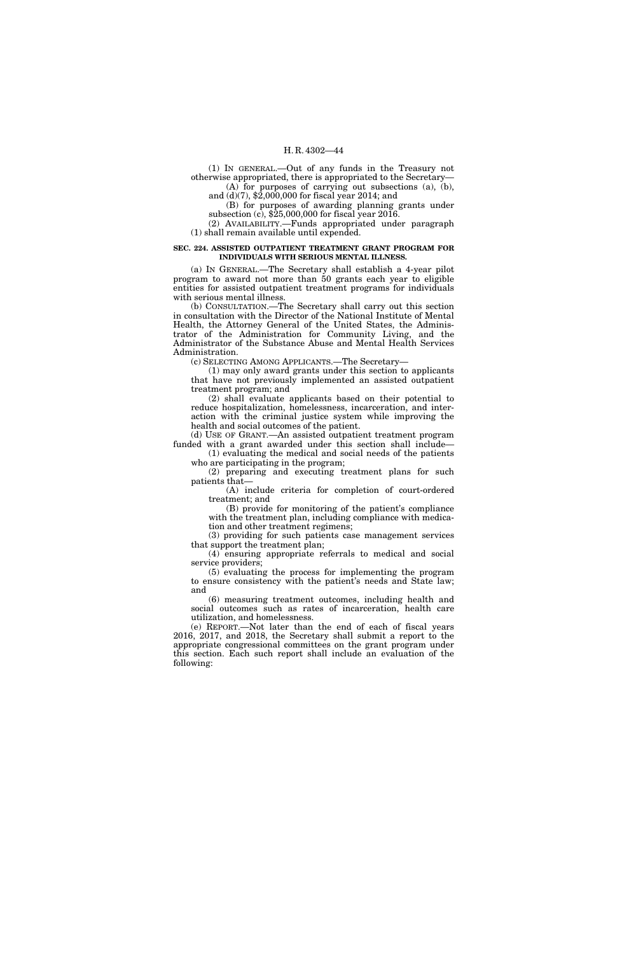(1) IN GENERAL.—Out of any funds in the Treasury not otherwise appropriated, there is appropriated to the Secretary— (A) for purposes of carrying out subsections (a), (b),

and (d)(7), \$2,000,000 for fiscal year 2014; and (B) for purposes of awarding planning grants under subsection (c), \$25,000,000 for fiscal year 2016.

(2) AVAILABILITY.—Funds appropriated under paragraph (1) shall remain available until expended.

#### **SEC. 224. ASSISTED OUTPATIENT TREATMENT GRANT PROGRAM FOR INDIVIDUALS WITH SERIOUS MENTAL ILLNESS.**

(a) IN GENERAL.—The Secretary shall establish a 4-year pilot program to award not more than 50 grants each year to eligible entities for assisted outpatient treatment programs for individuals with serious mental illness.

(b) CONSULTATION.—The Secretary shall carry out this section in consultation with the Director of the National Institute of Mental Health, the Attorney General of the United States, the Administrator of the Administration for Community Living, and the Administrator of the Substance Abuse and Mental Health Services Administration.

(c) SELECTING AMONG APPLICANTS.—The Secretary—

(1) may only award grants under this section to applicants that have not previously implemented an assisted outpatient treatment program; and

(2) shall evaluate applicants based on their potential to reduce hospitalization, homelessness, incarceration, and interaction with the criminal justice system while improving the health and social outcomes of the patient.

(d) USE OF GRANT.—An assisted outpatient treatment program funded with a grant awarded under this section shall include— (1) evaluating the medical and social needs of the patients

who are participating in the program;

(2) preparing and executing treatment plans for such patients that—

(A) include criteria for completion of court-ordered treatment; and

(B) provide for monitoring of the patient's compliance with the treatment plan, including compliance with medication and other treatment regimens;

(3) providing for such patients case management services that support the treatment plan;

(4) ensuring appropriate referrals to medical and social service providers;

(5) evaluating the process for implementing the program to ensure consistency with the patient's needs and State law; and

(6) measuring treatment outcomes, including health and social outcomes such as rates of incarceration, health care utilization, and homelessness.

(e) REPORT.—Not later than the end of each of fiscal years 2016, 2017, and 2018, the Secretary shall submit a report to the appropriate congressional committees on the grant program under this section. Each such report shall include an evaluation of the following: